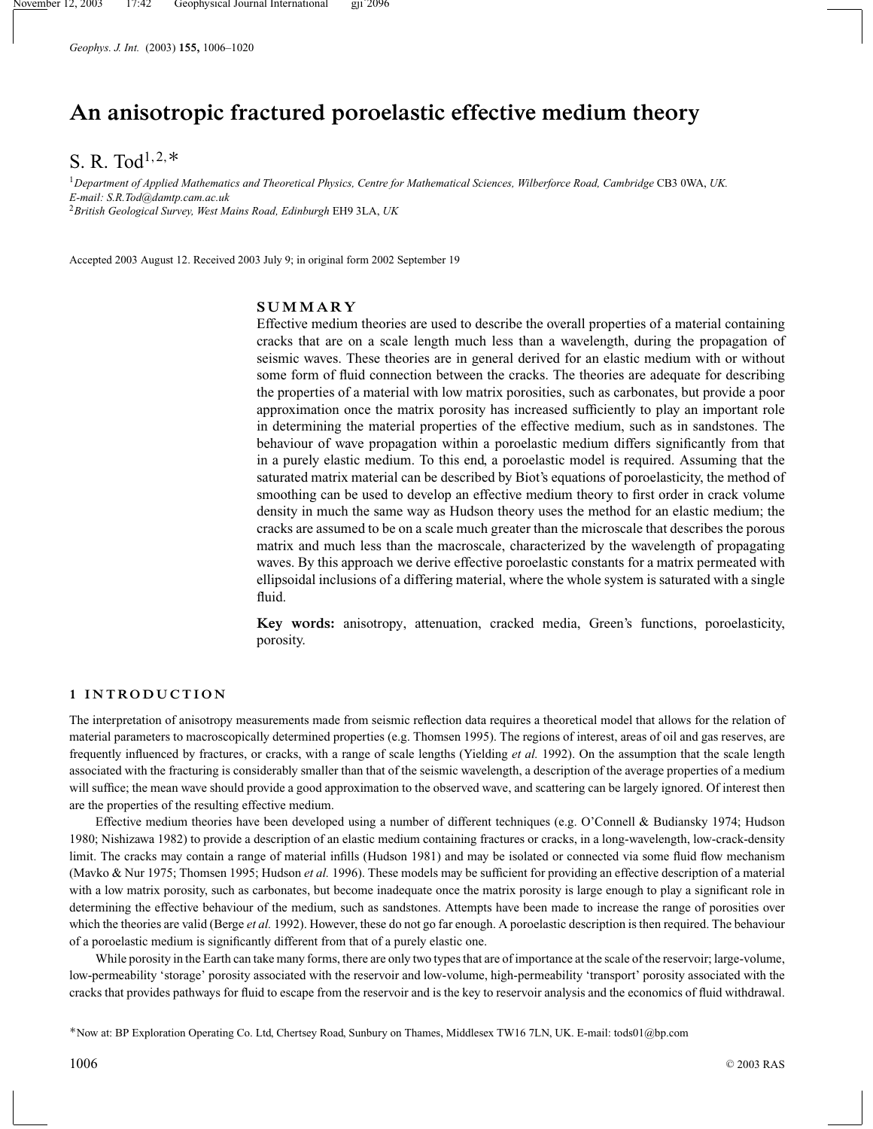*Geophys. J. Int.* (2003) **155,** 1006–1020

# **An anisotropic fractured poroelastic effective medium theory**

# S. R. Tod<sup>1,2,\*</sup>

<sup>1</sup>*Department of Applied Mathematics and Theoretical Physics, Centre for Mathematical Sciences, Wilberforce Road, Cambridge* CB3 0WA, *UK. E-mail: S.R.Tod@damtp.cam.ac.uk* <sup>2</sup>*British Geological Survey, West Mains Road, Edinburgh* EH9 3LA, *UK*

Accepted 2003 August 12. Received 2003 July 9; in original form 2002 September 19

# **SUMMARY**

Effective medium theories are used to describe the overall properties of a material containing cracks that are on a scale length much less than a wavelength, during the propagation of seismic waves. These theories are in general derived for an elastic medium with or without some form of fluid connection between the cracks. The theories are adequate for describing the properties of a material with low matrix porosities, such as carbonates, but provide a poor approximation once the matrix porosity has increased sufficiently to play an important role in determining the material properties of the effective medium, such as in sandstones. The behaviour of wave propagation within a poroelastic medium differs significantly from that in a purely elastic medium. To this end, a poroelastic model is required. Assuming that the saturated matrix material can be described by Biot's equations of poroelasticity, the method of smoothing can be used to develop an effective medium theory to first order in crack volume density in much the same way as Hudson theory uses the method for an elastic medium; the cracks are assumed to be on a scale much greater than the microscale that describes the porous matrix and much less than the macroscale, characterized by the wavelength of propagating waves. By this approach we derive effective poroelastic constants for a matrix permeated with ellipsoidal inclusions of a differing material, where the whole system is saturated with a single fluid.

**Key words:** anisotropy, attenuation, cracked media, Green's functions, poroelasticity, porosity.

# **1 INTRODUCTION**

The interpretation of anisotropy measurements made from seismic reflection data requires a theoretical model that allows for the relation of material parameters to macroscopically determined properties (e.g. Thomsen 1995). The regions of interest, areas of oil and gas reserves, are frequently influenced by fractures, or cracks, with a range of scale lengths (Yielding *et al.* 1992). On the assumption that the scale length associated with the fracturing is considerably smaller than that of the seismic wavelength, a description of the average properties of a medium will suffice; the mean wave should provide a good approximation to the observed wave, and scattering can be largely ignored. Of interest then are the properties of the resulting effective medium.

Effective medium theories have been developed using a number of different techniques (e.g. O'Connell & Budiansky 1974; Hudson 1980; Nishizawa 1982) to provide a description of an elastic medium containing fractures or cracks, in a long-wavelength, low-crack-density limit. The cracks may contain a range of material infills (Hudson 1981) and may be isolated or connected via some fluid flow mechanism (Mavko & Nur 1975; Thomsen 1995; Hudson *et al.* 1996). These models may be sufficient for providing an effective description of a material with a low matrix porosity, such as carbonates, but become inadequate once the matrix porosity is large enough to play a significant role in determining the effective behaviour of the medium, such as sandstones. Attempts have been made to increase the range of porosities over which the theories are valid (Berge *et al.* 1992). However, these do not go far enough. A poroelastic description is then required. The behaviour of a poroelastic medium is significantly different from that of a purely elastic one.

While porosity in the Earth can take many forms, there are only two types that are of importance at the scale of the reservoir; large-volume, low-permeability 'storage' porosity associated with the reservoir and low-volume, high-permeability 'transport' porosity associated with the cracks that provides pathways for fluid to escape from the reservoir and is the key to reservoir analysis and the economics of fluid withdrawal.

∗Now at: BP Exploration Operating Co. Ltd, Chertsey Road, Sunbury on Thames, Middlesex TW16 7LN, UK. E-mail: tods01@bp.com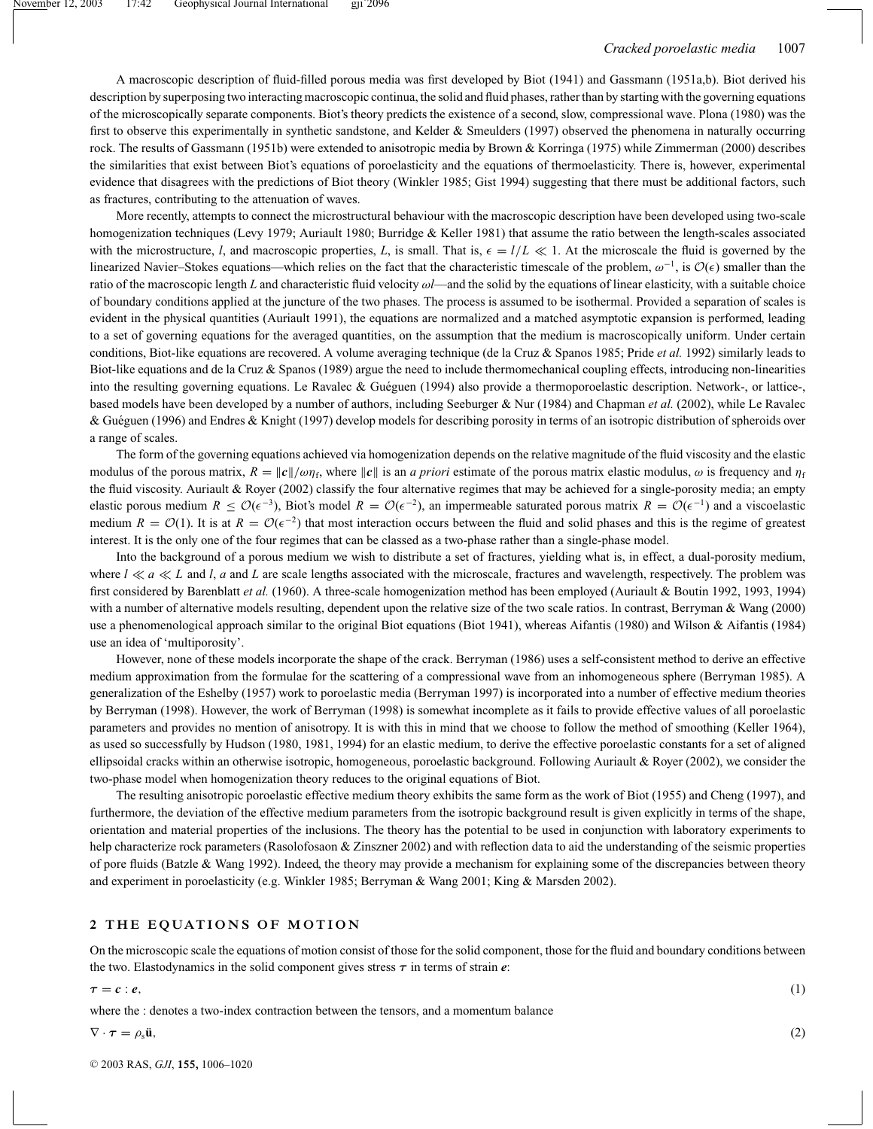A macroscopic description of fluid-filled porous media was first developed by Biot (1941) and Gassmann (1951a,b). Biot derived his description by superposing two interacting macroscopic continua, the solid and fluid phases, rather than by starting with the governing equations of the microscopically separate components. Biot's theory predicts the existence of a second, slow, compressional wave. Plona (1980) was the first to observe this experimentally in synthetic sandstone, and Kelder & Smeulders (1997) observed the phenomena in naturally occurring rock. The results of Gassmann (1951b) were extended to anisotropic media by Brown & Korringa (1975) while Zimmerman (2000) describes the similarities that exist between Biot's equations of poroelasticity and the equations of thermoelasticity. There is, however, experimental evidence that disagrees with the predictions of Biot theory (Winkler 1985; Gist 1994) suggesting that there must be additional factors, such as fractures, contributing to the attenuation of waves.

More recently, attempts to connect the microstructural behaviour with the macroscopic description have been developed using two-scale homogenization techniques (Levy 1979; Auriault 1980; Burridge & Keller 1981) that assume the ratio between the length-scales associated with the microstructure, *l*, and macroscopic properties, *L*, is small. That is,  $\epsilon = l/L \ll 1$ . At the microscale the fluid is governed by the linearized Navier–Stokes equations—which relies on the fact that the characteristic timescale of the problem,  $\omega^{-1}$ , is  $\mathcal{O}(\epsilon)$  smaller than the ratio of the macroscopic length *L* and characteristic fluid velocity ω*l*—and the solid by the equations of linear elasticity, with a suitable choice of boundary conditions applied at the juncture of the two phases. The process is assumed to be isothermal. Provided a separation of scales is evident in the physical quantities (Auriault 1991), the equations are normalized and a matched asymptotic expansion is performed, leading to a set of governing equations for the averaged quantities, on the assumption that the medium is macroscopically uniform. Under certain conditions, Biot-like equations are recovered. A volume averaging technique (de la Cruz & Spanos 1985; Pride *et al.* 1992) similarly leads to Biot-like equations and de la Cruz & Spanos (1989) argue the need to include thermomechanical coupling effects, introducing non-linearities into the resulting governing equations. Le Ravalec & Guéguen (1994) also provide a thermoporoelastic description. Network-, or lattice-, based models have been developed by a number of authors, including Seeburger & Nur (1984) and Chapman *et al.* (2002), while Le Ravalec & Guéguen (1996) and Endres & Knight (1997) develop models for describing porosity in terms of an isotropic distribution of spheroids over a range of scales.

The form of the governing equations achieved via homogenization depends on the relative magnitude of the fluid viscosity and the elastic modulus of the porous matrix,  $R = ||c||/\omega \eta_f$ , where  $||c||$  is an *a priori* estimate of the porous matrix elastic modulus,  $\omega$  is frequency and  $\eta_f$ the fluid viscosity. Auriault & Royer (2002) classify the four alternative regimes that may be achieved for a single-porosity media; an empty elastic porous medium  $R \leq \mathcal{O}(\epsilon^{-3})$ , Biot's model  $R = \mathcal{O}(\epsilon^{-2})$ , an impermeable saturated porous matrix  $R = \mathcal{O}(\epsilon^{-1})$  and a viscoelastic medium  $R = \mathcal{O}(1)$ . It is at  $R = \mathcal{O}(\epsilon^{-2})$  that most interaction occurs between the fluid and solid phases and this is the regime of greatest interest. It is the only one of the four regimes that can be classed as a two-phase rather than a single-phase model.

Into the background of a porous medium we wish to distribute a set of fractures, yielding what is, in effect, a dual-porosity medium, where  $l \ll a \ll L$  and *l*, *a* and *L* are scale lengths associated with the microscale, fractures and wavelength, respectively. The problem was first considered by Barenblatt *et al.* (1960). A three-scale homogenization method has been employed (Auriault & Boutin 1992, 1993, 1994) with a number of alternative models resulting, dependent upon the relative size of the two scale ratios. In contrast, Berryman & Wang (2000) use a phenomenological approach similar to the original Biot equations (Biot 1941), whereas Aifantis (1980) and Wilson & Aifantis (1984) use an idea of 'multiporosity'.

However, none of these models incorporate the shape of the crack. Berryman (1986) uses a self-consistent method to derive an effective medium approximation from the formulae for the scattering of a compressional wave from an inhomogeneous sphere (Berryman 1985). A generalization of the Eshelby (1957) work to poroelastic media (Berryman 1997) is incorporated into a number of effective medium theories by Berryman (1998). However, the work of Berryman (1998) is somewhat incomplete as it fails to provide effective values of all poroelastic parameters and provides no mention of anisotropy. It is with this in mind that we choose to follow the method of smoothing (Keller 1964), as used so successfully by Hudson (1980, 1981, 1994) for an elastic medium, to derive the effective poroelastic constants for a set of aligned ellipsoidal cracks within an otherwise isotropic, homogeneous, poroelastic background. Following Auriault & Royer (2002), we consider the two-phase model when homogenization theory reduces to the original equations of Biot.

The resulting anisotropic poroelastic effective medium theory exhibits the same form as the work of Biot (1955) and Cheng (1997), and furthermore, the deviation of the effective medium parameters from the isotropic background result is given explicitly in terms of the shape, orientation and material properties of the inclusions. The theory has the potential to be used in conjunction with laboratory experiments to help characterize rock parameters (Rasolofosaon & Zinszner 2002) and with reflection data to aid the understanding of the seismic properties of pore fluids (Batzle & Wang 1992). Indeed, the theory may provide a mechanism for explaining some of the discrepancies between theory and experiment in poroelasticity (e.g. Winkler 1985; Berryman & Wang 2001; King & Marsden 2002).

#### **2 THE EQUATIONS OF MOTION**

On the microscopic scale the equations of motion consist of those for the solid component, those for the fluid and boundary conditions between the two. Elastodynamics in the solid component gives stress  $\tau$  in terms of strain  $e$ :

$$
\tau = c : e,
$$
\n(1)

\nwhere the : denotes a two-index contraction between the tensors, and a momentum balance

 $\nabla \cdot \boldsymbol{\tau} = \rho_s \ddot{\mathbf{u}},$ (2)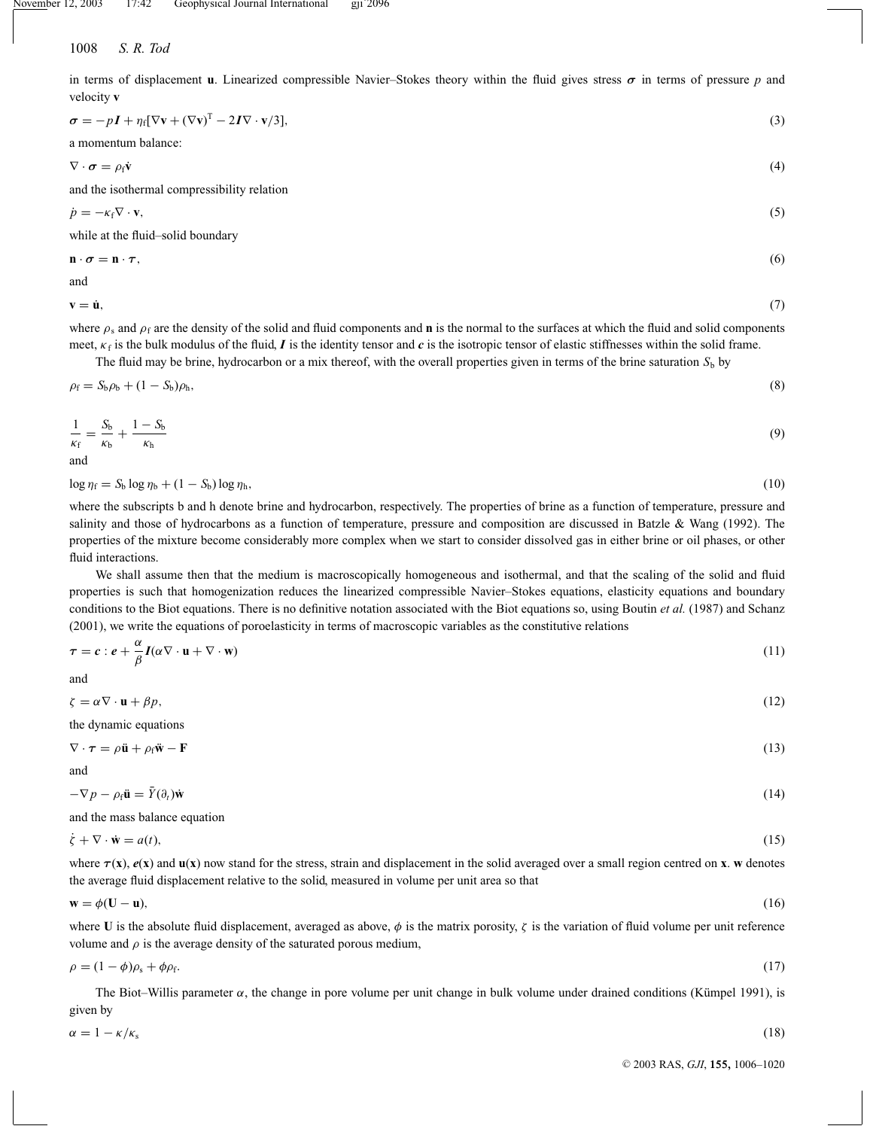in terms of displacement **u**. Linearized compressible Navier–Stokes theory within the fluid gives stress  $\sigma$  in terms of pressure p and velocity **v**

$$
\sigma = -pI + \eta_f[\nabla \mathbf{v} + (\nabla \mathbf{v})^T - 2I\nabla \cdot \mathbf{v}/3],\tag{3}
$$

a momentum balance:

$$
\nabla \cdot \boldsymbol{\sigma} = \rho_{\rm f} \dot{\mathbf{v}} \tag{4}
$$

and the isothermal compressibility relation

$$
\dot{p} = -\kappa_{\rm f} \nabla \cdot \mathbf{v},\tag{5}
$$

while at the fluid–solid boundary

$$
\mathbf{n} \cdot \boldsymbol{\sigma} = \mathbf{n} \cdot \boldsymbol{\tau},\tag{6}
$$

and

 $\mathbf{v} = \dot{\mathbf{u}},$  (7)

where  $\rho_s$  and  $\rho_f$  are the density of the solid and fluid components and **n** is the normal to the surfaces at which the fluid and solid components meet,  $\kappa_f$  is the bulk modulus of the fluid, *I* is the identity tensor and *c* is the isotropic tensor of elastic stiffnesses within the solid frame.

The fluid may be brine, hydrocarbon or a mix thereof, with the overall properties given in terms of the brine saturation  $S<sub>b</sub>$  by

$$
\rho_{\rm f} = S_{\rm b}\rho_{\rm b} + (1 - S_{\rm b})\rho_{\rm h},\tag{8}
$$

$$
\frac{1}{\kappa_{\rm f}} = \frac{S_{\rm b}}{\kappa_{\rm b}} + \frac{1 - S_{\rm b}}{\kappa_{\rm h}}\tag{9}
$$

and

 $\log \eta_f = S_b \log \eta_b + (1 - S_b) \log \eta_h,$  (10)

where the subscripts b and h denote brine and hydrocarbon, respectively. The properties of brine as a function of temperature, pressure and salinity and those of hydrocarbons as a function of temperature, pressure and composition are discussed in Batzle & Wang (1992). The properties of the mixture become considerably more complex when we start to consider dissolved gas in either brine or oil phases, or other fluid interactions.

We shall assume then that the medium is macroscopically homogeneous and isothermal, and that the scaling of the solid and fluid properties is such that homogenization reduces the linearized compressible Navier–Stokes equations, elasticity equations and boundary conditions to the Biot equations. There is no definitive notation associated with the Biot equations so, using Boutin *et al.* (1987) and Schanz (2001), we write the equations of poroelasticity in terms of macroscopic variables as the constitutive relations

$$
\tau = c : e + \frac{\alpha}{\beta} I(\alpha \nabla \cdot \mathbf{u} + \nabla \cdot \mathbf{w})
$$
\n(11)

and

 $\zeta = \alpha \nabla \cdot \mathbf{u} + \beta p,$  (12)

the dynamic equations

 $\nabla \cdot \tau = \rho \ddot{\mathbf{u}} + \rho_f \ddot{\mathbf{w}} - \mathbf{F}$  (13) and

$$
-\nabla p - \rho_f \ddot{\mathbf{u}} = \bar{Y}(\partial_t) \dot{\mathbf{w}} \tag{14}
$$

and the mass balance equation

$$
\dot{\zeta} + \nabla \cdot \dot{\mathbf{w}} = a(t),\tag{15}
$$

where  $\tau(x)$ ,  $e(x)$  and  $u(x)$  now stand for the stress, strain and displacement in the solid averaged over a small region centred on **x**. **w** denotes the average fluid displacement relative to the solid, measured in volume per unit area so that

$$
\mathbf{w} = \phi(\mathbf{U} - \mathbf{u}),\tag{16}
$$

where U is the absolute fluid displacement, averaged as above,  $\phi$  is the matrix porosity,  $\zeta$  is the variation of fluid volume per unit reference volume and  $\rho$  is the average density of the saturated porous medium,

$$
\rho = (1 - \phi)\rho_s + \phi \rho_f. \tag{17}
$$

The Biot–Willis parameter  $\alpha$ , the change in pore volume per unit change in bulk volume under drained conditions (Kümpel 1991), is given by

$$
\alpha = 1 - \kappa/\kappa_s \tag{18}
$$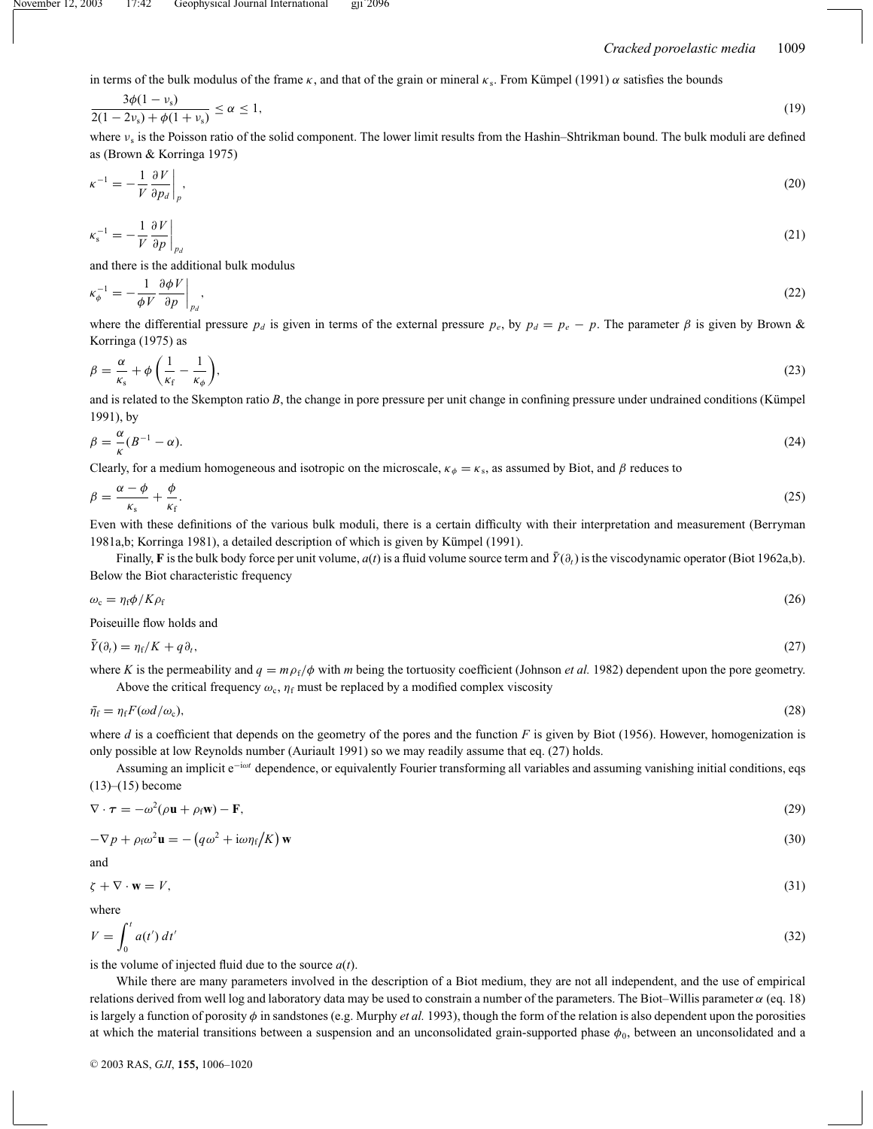in terms of the bulk modulus of the frame  $\kappa$ , and that of the grain or mineral  $\kappa_s$ . From Kümpel (1991)  $\alpha$  satisfies the bounds

$$
\frac{3\phi(1-\nu_{\rm s})}{2(1-2\nu_{\rm s})+\phi(1+\nu_{\rm s})} \le \alpha \le 1,\tag{19}
$$

where  $v_s$  is the Poisson ratio of the solid component. The lower limit results from the Hashin–Shtrikman bound. The bulk moduli are defined as (Brown & Korringa 1975)

$$
\kappa^{-1} = -\frac{1}{V} \frac{\partial V}{\partial p_d} \bigg|_p, \tag{20}
$$

$$
\kappa_s^{-1} = -\frac{1}{V} \frac{\partial V}{\partial p} \bigg|_{p_d} \tag{21}
$$

and there is the additional bulk modulus

$$
\kappa_{\phi}^{-1} = -\frac{1}{\phi V} \frac{\partial \phi V}{\partial p} \bigg|_{p_d},\tag{22}
$$

where the differential pressure  $p_d$  is given in terms of the external pressure  $p_e$ , by  $p_d = p_e - p$ . The parameter  $\beta$  is given by Brown & Korringa (1975) as

$$
\beta = \frac{\alpha}{\kappa_s} + \phi \left( \frac{1}{\kappa_f} - \frac{1}{\kappa_\phi} \right),\tag{23}
$$

and is related to the Skempton ratio  $B$ , the change in pore pressure per unit change in confining pressure under undrained conditions (Kümpel 1991), by

$$
\beta = \frac{\alpha}{\kappa} (B^{-1} - \alpha). \tag{24}
$$

Clearly, for a medium homogeneous and isotropic on the microscale,  $\kappa_{\phi} = \kappa_s$ , as assumed by Biot, and  $\beta$  reduces to

$$
\beta = \frac{\alpha - \phi}{\kappa_s} + \frac{\phi}{\kappa_f}.\tag{25}
$$

Even with these definitions of the various bulk moduli, there is a certain difficulty with their interpretation and measurement (Berryman 1981a,b; Korringa 1981), a detailed description of which is given by Kümpel (1991).

Finally, **F** is the bulk body force per unit volume,  $a(t)$  is a fluid volume source term and  $\bar{Y}(\partial_t)$  is the viscodynamic operator (Biot 1962a,b). Below the Biot characteristic frequency

$$
\omega_{\rm c} = \eta_{\rm f} \phi / K \rho_{\rm f} \tag{26}
$$

Poiseuille flow holds and

$$
\bar{Y}(\partial_t) = \eta_f / K + q \partial_t,\tag{27}
$$

where *K* is the permeability and  $q = m \rho_f/\phi$  with *m* being the tortuosity coefficient (Johnson *et al.* 1982) dependent upon the pore geometry. Above the critical frequency  $\omega_c$ ,  $\eta_f$  must be replaced by a modified complex viscosity

$$
\bar{\eta}_{\rm f} = \eta_{\rm f} F(\omega d/\omega_{\rm c}),\tag{28}
$$

where *d* is a coefficient that depends on the geometry of the pores and the function *F* is given by Biot (1956). However, homogenization is only possible at low Reynolds number (Auriault 1991) so we may readily assume that eq. (27) holds.

Assuming an implicit e<sup>−</sup>iω*<sup>t</sup>* dependence, or equivalently Fourier transforming all variables and assuming vanishing initial conditions, eqs  $(13)–(15)$  become

$$
\nabla \cdot \boldsymbol{\tau} = -\omega^2 (\rho \mathbf{u} + \rho_f \mathbf{w}) - \mathbf{F},\tag{29}
$$

$$
-\nabla p + \rho_f \omega^2 \mathbf{u} = -\left(q\omega^2 + i\omega \eta_f / K\right) \mathbf{w}
$$
\n(30)

and

$$
\zeta + \nabla \cdot \mathbf{w} = V,\tag{31}
$$

where

$$
V = \int_0^t a(t') dt'
$$
\n(32)

is the volume of injected fluid due to the source  $a(t)$ .

While there are many parameters involved in the description of a Biot medium, they are not all independent, and the use of empirical relations derived from well log and laboratory data may be used to constrain a number of the parameters. The Biot–Willis parameter  $\alpha$  (eq. 18) is largely a function of porosity  $\phi$  in sandstones (e.g. Murphy *et al.* 1993), though the form of the relation is also dependent upon the porosities at which the material transitions between a suspension and an unconsolidated grain-supported phase  $\phi_0$ , between an unconsolidated and a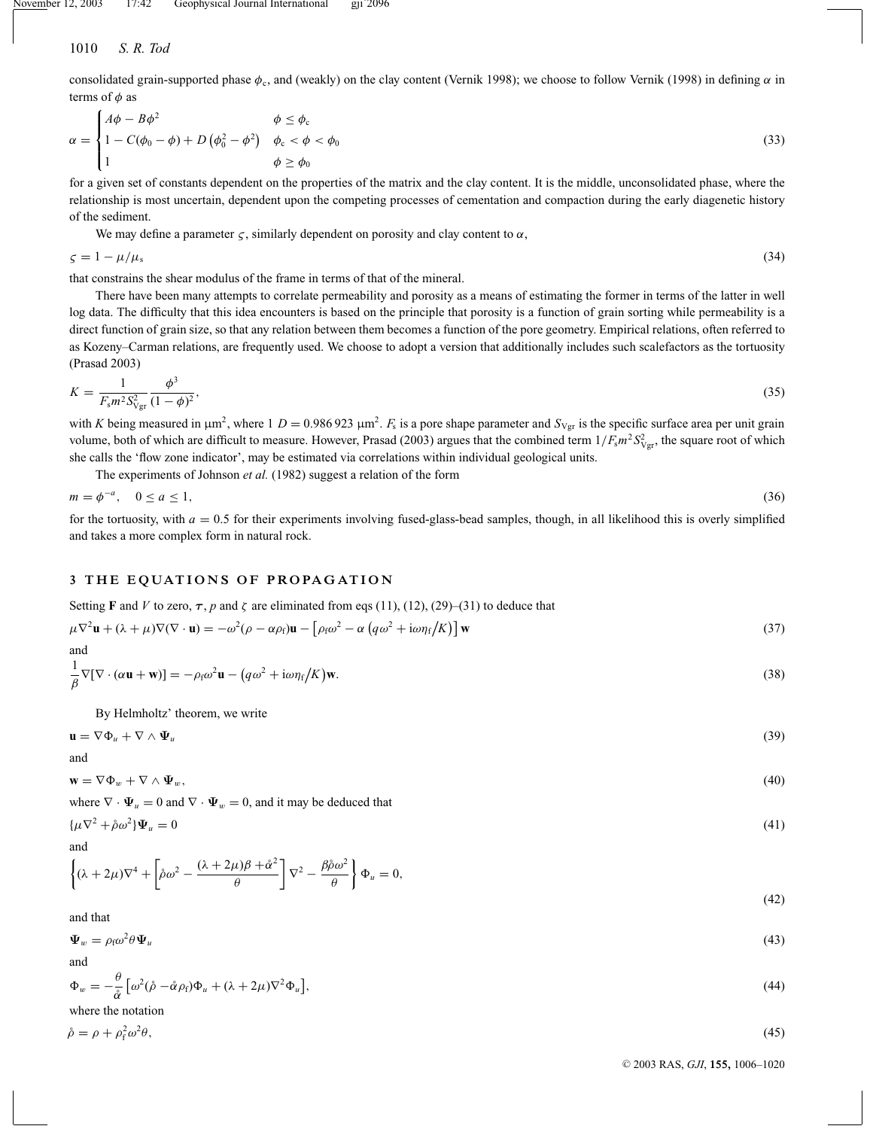consolidated grain-supported phase  $\phi_c$ , and (weakly) on the clay content (Vernik 1998); we choose to follow Vernik (1998) in defining  $\alpha$  in terms of  $\phi$  as

$$
\alpha = \begin{cases}\nA\phi - B\phi^2 & \phi \le \phi_c \\
1 - C(\phi_0 - \phi) + D(\phi_0^2 - \phi^2) & \phi_c < \phi < \phi_0 \\
1 & \phi \ge \phi_0\n\end{cases}
$$
\n(33)

for a given set of constants dependent on the properties of the matrix and the clay content. It is the middle, unconsolidated phase, where the relationship is most uncertain, dependent upon the competing processes of cementation and compaction during the early diagenetic history of the sediment.

We may define a parameter  $\varsigma$ , similarly dependent on porosity and clay content to  $\alpha$ ,

 $\zeta = 1 - \mu/\mu_s$  (34)

that constrains the shear modulus of the frame in terms of that of the mineral.

There have been many attempts to correlate permeability and porosity as a means of estimating the former in terms of the latter in well log data. The difficulty that this idea encounters is based on the principle that porosity is a function of grain sorting while permeability is a direct function of grain size, so that any relation between them becomes a function of the pore geometry. Empirical relations, often referred to as Kozeny–Carman relations, are frequently used. We choose to adopt a version that additionally includes such scalefactors as the tortuosity (Prasad 2003)

$$
K = \frac{1}{F_s m^2 S_{\text{Vgr}}^2} \frac{\phi^3}{(1 - \phi)^2},\tag{35}
$$

with *K* being measured in  $\mu$ m<sup>2</sup>, where 1 *D* = 0.986 923  $\mu$ m<sup>2</sup>. *F*<sub>s</sub> is a pore shape parameter and  $S_{Vgr}$  is the specific surface area per unit grain volume, both of which are difficult to measure. However, Prasad (2003) argues that the combined term  $1/F_s m^2 S_{Vgr}^2$ , the square root of which she calls the 'flow zone indicator', may be estimated via correlations within individual geological units.

The experiments of Johnson *et al.* (1982) suggest a relation of the form

$$
m = \phi^{-a}, \quad 0 \le a \le 1,\tag{36}
$$

for the tortuosity, with  $a = 0.5$  for their experiments involving fused-glass-bead samples, though, in all likelihood this is overly simplified and takes a more complex form in natural rock.

# **3 THE EQUATIONS OF PROPAGATION**

Setting **F** and *V* to zero,  $\tau$ , *p* and  $\zeta$  are eliminated from eqs (11), (12), (29)–(31) to deduce that

$$
\mu \nabla^2 \mathbf{u} + (\lambda + \mu) \nabla (\nabla \cdot \mathbf{u}) = -\omega^2 (\rho - \alpha \rho_f) \mathbf{u} - \left[ \rho_f \omega^2 - \alpha \left( q \omega^2 + i \omega \eta_f / K \right) \right] \mathbf{w}
$$
\n(37)

and  
\n
$$
\frac{1}{\beta} \nabla [\nabla \cdot (\alpha \mathbf{u} + \mathbf{w})] = -\rho_f \omega^2 \mathbf{u} - (q\omega^2 + i\omega \eta_f/K) \mathbf{w}.
$$
\n(38)

By Helmholtz' theorem, we write

$$
\mathbf{u} = \nabla \Phi_u + \nabla \wedge \Psi_u \tag{39}
$$

and

$$
\mathbf{w} = \nabla \Phi_w + \nabla \wedge \Psi_w,\tag{40}
$$

where  $\nabla \cdot \mathbf{\Psi}_u = 0$  and  $\nabla \cdot \mathbf{\Psi}_w = 0$ , and it may be deduced that

$$
\{\mu \nabla^2 + \mathring{\rho}\omega^2\}\Psi_u = 0\tag{41}
$$

and

$$
\left\{ (\lambda + 2\mu)\nabla^4 + \left[ \hat{\rho}\omega^2 - \frac{(\lambda + 2\mu)\beta + \hat{\alpha}^2}{\theta} \right] \nabla^2 - \frac{\beta \hat{\rho}\omega^2}{\theta} \right\} \Phi_u = 0,
$$
\n(42)

and that

$$
\Psi_w = \rho_f \omega^2 \theta \Psi_u \tag{43}
$$

and  
\n
$$
\Phi_w = -\frac{\theta}{\tilde{\alpha}} \left[ \omega^2 (\hat{\rho} - \hat{\alpha} \rho_f) \Phi_u + (\lambda + 2\mu) \nabla^2 \Phi_u \right],
$$
\n(44)

where the notation

$$
\mathring{\rho} = \rho + \rho_{\rm f}^2 \omega^2 \theta
$$

 $\theta$ , (45)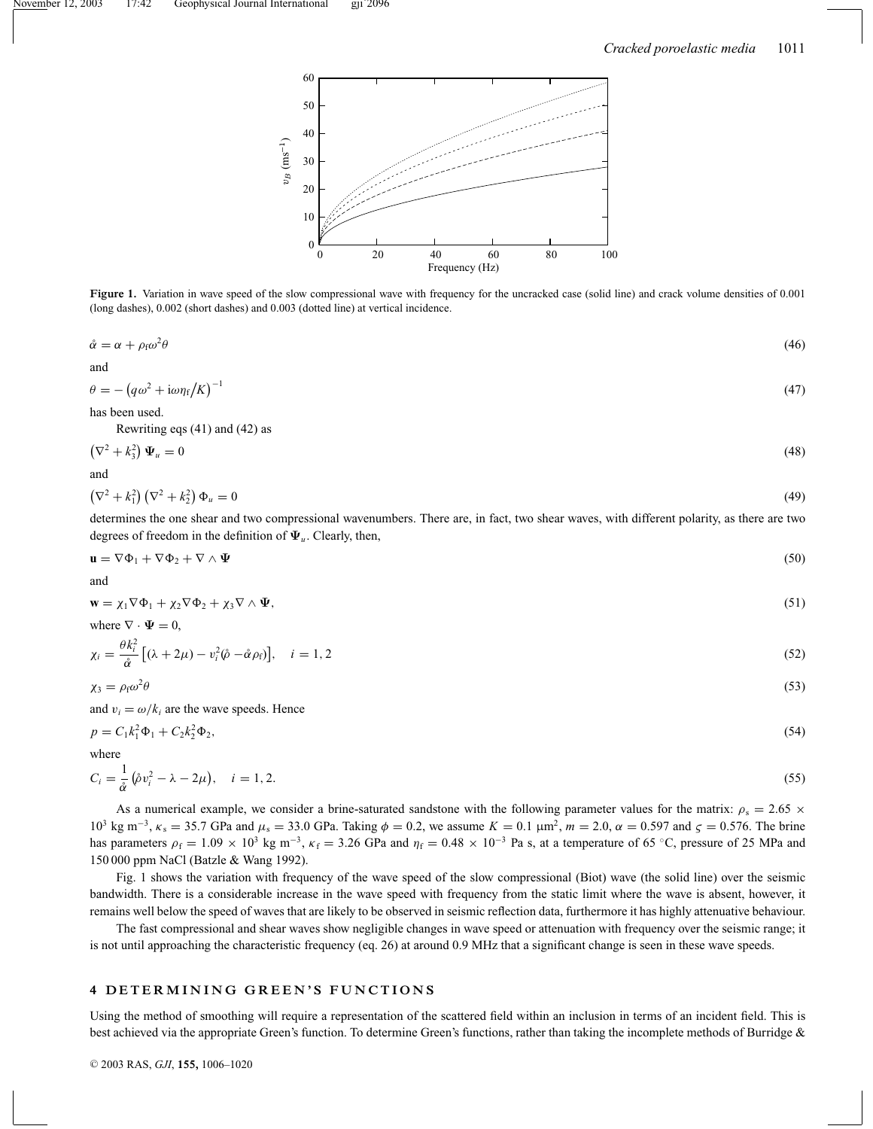

Figure 1. Variation in wave speed of the slow compressional wave with frequency for the uncracked case (solid line) and crack volume densities of 0.001 (long dashes), 0.002 (short dashes) and 0.003 (dotted line) at vertical incidence.

$$
\mathring{\alpha} = \alpha + \rho_f \omega^2 \theta \tag{46}
$$

and

$$
\theta = -\left(q\omega^2 + i\omega\eta_f/K\right)^{-1} \tag{47}
$$

has been used.

Rewriting eqs (41) and (42) as

$$
\left(\nabla^2 + k_3^2\right)\Psi_u = 0\tag{48}
$$

and

$$
\left(\nabla^2 + k_1^2\right)\left(\nabla^2 + k_2^2\right)\Phi_u = 0\tag{49}
$$

determines the one shear and two compressional wavenumbers. There are, in fact, two shear waves, with different polarity, as there are two degrees of freedom in the definition of  $\Psi_u$ . Clearly, then,

$$
\mathbf{u} = \nabla \Phi_1 + \nabla \Phi_2 + \nabla \wedge \Psi \tag{50}
$$

and

$$
\mathbf{w} = \chi_1 \nabla \Phi_1 + \chi_2 \nabla \Phi_2 + \chi_3 \nabla \wedge \Psi,\tag{51}
$$

where 
$$
\nabla \cdot \Psi =
$$

$$
\chi_i = \frac{\theta k_i^2}{\mathring{\alpha}} \left[ (\lambda + 2\mu) - v_i^2 (\mathring{\rho} - \mathring{\alpha} \rho_f) \right], \quad i = 1, 2 \tag{52}
$$

$$
\chi_3 = \rho_f \omega^2 \theta \tag{53}
$$

and  $v_i = \omega/k_i$  are the wave speeds. Hence

 $0,$ 

$$
p = C_1 k_1^2 \Phi_1 + C_2 k_2^2 \Phi_2,\tag{54}
$$

where

$$
C_i = \frac{1}{\mathring{\alpha}} (\mathring{\rho} v_i^2 - \lambda - 2\mu), \quad i = 1, 2. \tag{55}
$$

As a numerical example, we consider a brine-saturated sandstone with the following parameter values for the matrix:  $\rho_s = 2.65 \times$ 10<sup>3</sup> kg m<sup>-3</sup>, κ<sub>s</sub> = 35.7 GPa and  $\mu_s$  = 33.0 GPa. Taking  $\phi$  = 0.2, we assume  $K = 0.1 \mu m^2$ ,  $m = 2.0$ ,  $\alpha = 0.597$  and  $\zeta$  = 0.576. The brine has parameters  $\rho_f = 1.09 \times 10^3$  kg m<sup>-3</sup>,  $\kappa_f = 3.26$  GPa and  $\eta_f = 0.48 \times 10^{-3}$  Pa s, at a temperature of 65 °C, pressure of 25 MPa and 150 000 ppm NaCl (Batzle & Wang 1992).

Fig. 1 shows the variation with frequency of the wave speed of the slow compressional (Biot) wave (the solid line) over the seismic bandwidth. There is a considerable increase in the wave speed with frequency from the static limit where the wave is absent, however, it remains well below the speed of waves that are likely to be observed in seismic reflection data, furthermore it has highly attenuative behaviour.

The fast compressional and shear waves show negligible changes in wave speed or attenuation with frequency over the seismic range; it is not until approaching the characteristic frequency (eq. 26) at around 0.9 MHz that a significant change is seen in these wave speeds.

#### **4 DETERMINING GREEN'S FUNCTIONS**

Using the method of smoothing will require a representation of the scattered field within an inclusion in terms of an incident field. This is best achieved via the appropriate Green's function. To determine Green's functions, rather than taking the incomplete methods of Burridge &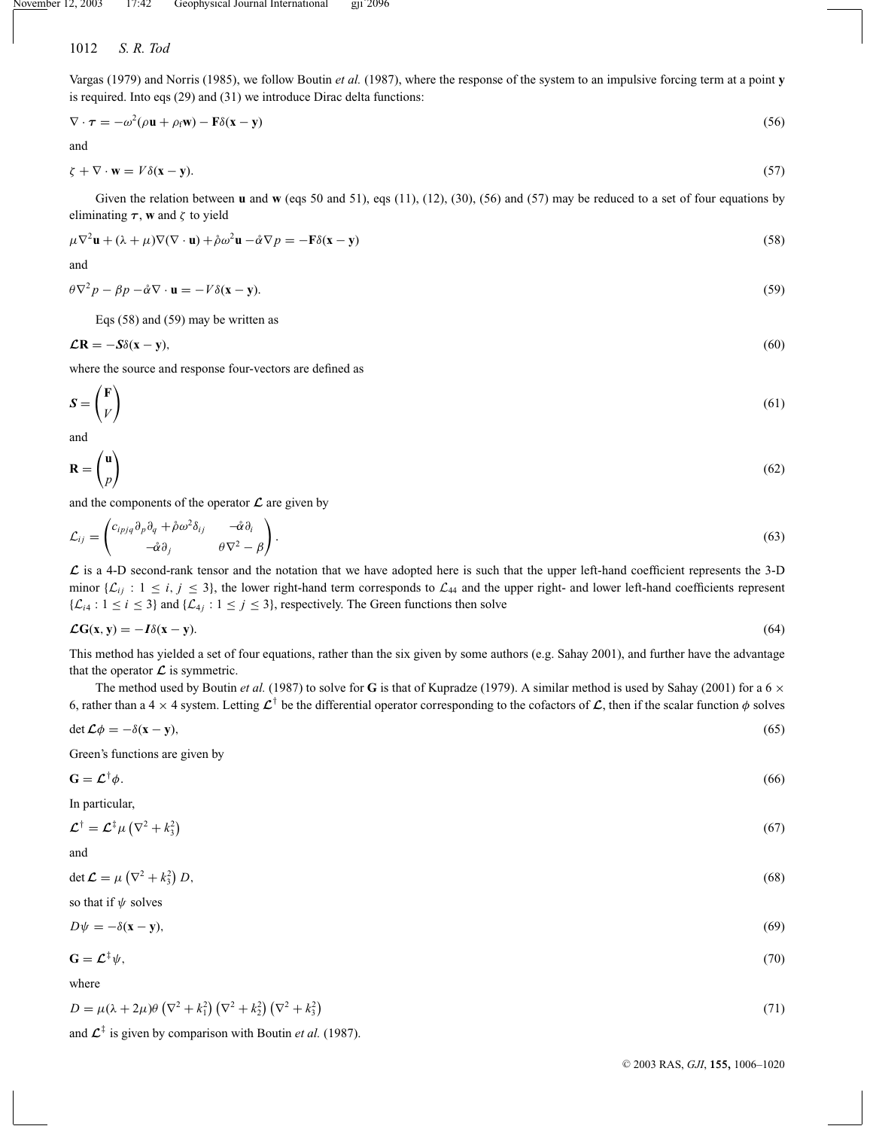Vargas (1979) and Norris (1985), we follow Boutin *et al.* (1987), where the response of the system to an impulsive forcing term at a point **y** is required. Into eqs (29) and (31) we introduce Dirac delta functions:

$$
\nabla \cdot \boldsymbol{\tau} = -\omega^2 (\rho \mathbf{u} + \rho_f \mathbf{w}) - \mathbf{F} \delta(\mathbf{x} - \mathbf{y}) \tag{56}
$$

and

$$
\zeta + \nabla \cdot \mathbf{w} = V \delta(\mathbf{x} - \mathbf{y}). \tag{57}
$$

Given the relation between **u** and **w** (eqs 50 and 51), eqs (11), (12), (30), (56) and (57) may be reduced to a set of four equations by eliminating  $\tau$ , **w** and  $\zeta$  to yield

$$
\mu \nabla^2 \mathbf{u} + (\lambda + \mu) \nabla (\nabla \cdot \mathbf{u}) + \mathring{\rho} \omega^2 \mathbf{u} - \mathring{\alpha} \nabla p = -\mathbf{F} \delta(\mathbf{x} - \mathbf{y})
$$
\n(58)

and

$$
\theta \nabla^2 p - \beta p - \mathring{\alpha} \nabla \cdot \mathbf{u} = -V \delta(\mathbf{x} - \mathbf{y}).
$$
\n(59)

Eqs (58) and (59) may be written as

$$
\mathcal{L}\mathbf{R} = -S\delta(\mathbf{x} - \mathbf{y}),\tag{60}
$$

where the source and response four-vectors are defined as

$$
S = \begin{pmatrix} F \\ V \end{pmatrix} \tag{61}
$$

and

 $\sqrt{2}$ 

$$
\mathbf{R} = \begin{pmatrix} \mathbf{u} \\ p \end{pmatrix} \tag{62}
$$

and the components of the operator  $\mathcal L$  are given by

$$
\mathcal{L}_{ij} = \begin{pmatrix} c_{ipjq} \partial_p \partial_q + \hat{\rho} \omega^2 \delta_{ij} & -\hat{\alpha} \partial_i \\ -\hat{\alpha} \partial_j & \theta \nabla^2 - \beta \end{pmatrix} . \tag{63}
$$

*L* is a 4-D second-rank tensor and the notation that we have adopted here is such that the upper left-hand coefficient represents the 3-D minor  $\{\mathcal{L}_{ij} : 1 \le i, j \le 3\}$ , the lower right-hand term corresponds to  $\mathcal{L}_{44}$  and the upper right- and lower left-hand coefficients represent  $\{\mathcal{L}_{i4} : 1 \le i \le 3\}$  and  $\{\mathcal{L}_{4j} : 1 \le j \le 3\}$ , respectively. The Green functions then solve

$$
\mathcal{L}G(x, y) = -I\delta(x - y). \tag{64}
$$

This method has yielded a set of four equations, rather than the six given by some authors (e.g. Sahay 2001), and further have the advantage that the operator  $\mathcal L$  is symmetric.

The method used by Boutin *et al.* (1987) to solve for **G** is that of Kupradze (1979). A similar method is used by Sahay (2001) for a 6  $\times$ 6, rather than a 4  $\times$  4 system. Letting  $\mathcal{L}^{\dagger}$  be the differential operator corresponding to the cofactors of  $\mathcal{L}$ , then if the scalar function  $\phi$  solves

$$
\det \mathcal{L}\phi = -\delta(\mathbf{x} - \mathbf{y}),\tag{65}
$$

Green's functions are given by

$$
\mathbf{G} = \mathcal{L}^{\dagger} \phi. \tag{66}
$$

In particular,

$$
\mathcal{L}^{\dagger} = \mathcal{L}^{\dagger} \mu \left( \nabla^2 + k_3^2 \right) \tag{67}
$$

and det  $\mathcal{L} = \mu \left( \nabla^2 + k_3^2 \right)$ *D*, (68)

so that if  $\psi$  solves

$$
D\psi = -\delta(\mathbf{x} - \mathbf{y}),\tag{69}
$$

$$
\mathbf{G} = \mathcal{L}^{\ddagger} \psi, \tag{70}
$$

where

$$
D = \mu(\lambda + 2\mu)\theta \left(\nabla^2 + k_1^2\right) \left(\nabla^2 + k_2^2\right) \left(\nabla^2 + k_3^2\right) \tag{71}
$$

and  $\mathcal{L}^{\ddagger}$  is given by comparison with Boutin *et al.* (1987).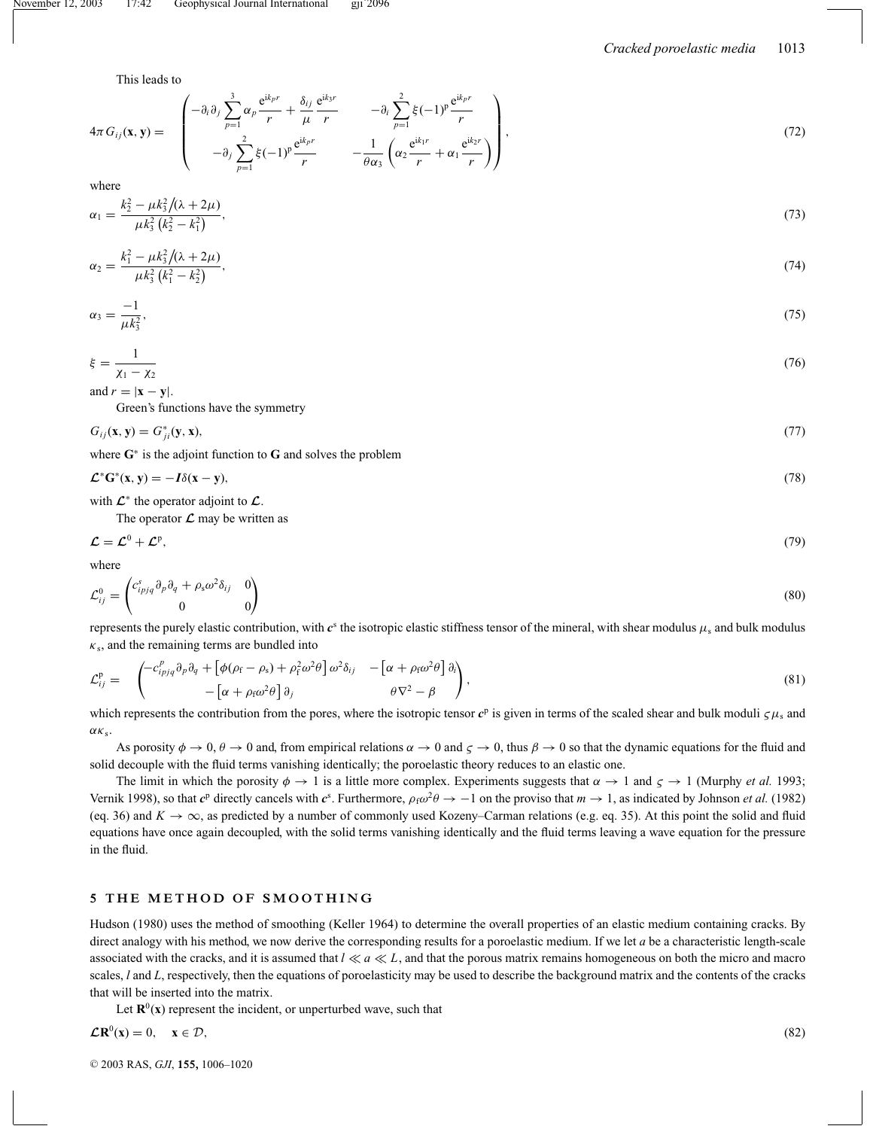This leads to

$$
4\pi G_{ij}(\mathbf{x}, \mathbf{y}) = \begin{pmatrix} -\partial_i \partial_j \sum_{p=1}^3 \alpha_p \frac{e^{ik_p r}}{r} + \frac{\delta_{ij}}{\mu} \frac{e^{ik_p r}}{r} & -\partial_i \sum_{p=1}^2 \xi (-1)^p \frac{e^{ik_p r}}{r} \\ -\partial_j \sum_{p=1}^2 \xi (-1)^p \frac{e^{ik_p r}}{r} & -\frac{1}{\theta \alpha_3} \left( \alpha_2 \frac{e^{ik_1 r}}{r} + \alpha_1 \frac{e^{ik_2 r}}{r} \right) \end{pmatrix},
$$
(72)

where

$$
\alpha_1 = \frac{k_2^2 - \mu k_3^2 / (\lambda + 2\mu)}{\mu k_3^2 (k_2^2 - k_1^2)},\tag{73}
$$

$$
\alpha_2 = \frac{k_1^2 - \mu k_3^2 / (\lambda + 2\mu)}{\mu k_3^2 (k_1^2 - k_2^2)},\tag{74}
$$

$$
\alpha_3 = \frac{-1}{\mu k_3^2},\tag{75}
$$

$$
\xi = \frac{1}{\chi_1 - \chi_2} \tag{76}
$$

and  $r = |\mathbf{x} - \mathbf{y}|$ .

Green's functions have the symmetry

$$
G_{ij}(\mathbf{x}, \mathbf{y}) = G_{ji}^*(\mathbf{y}, \mathbf{x}),\tag{77}
$$

where **G**<sup>∗</sup> is the adjoint function to **G** and solves the problem

$$
\mathcal{L}^* \mathbf{G}^* (\mathbf{x}, \mathbf{y}) = -I \delta(\mathbf{x} - \mathbf{y}),\tag{78}
$$

with  $\mathcal{L}^*$  the operator adjoint to  $\mathcal{L}$ .

The operator  $\mathcal L$  may be written as

$$
\mathcal{L} = \mathcal{L}^0 + \mathcal{L}^p,\tag{79}
$$

where

$$
\mathcal{L}_{ij}^0 = \begin{pmatrix} c_{ipjq}^s \partial_p \partial_q + \rho_s \omega^2 \delta_{ij} & 0 \\ 0 & 0 \end{pmatrix} \tag{80}
$$

represents the purely elastic contribution, with  $c^s$  the isotropic elastic stiffness tensor of the mineral, with shear modulus  $\mu_s$  and bulk modulus  $\kappa_s$ , and the remaining terms are bundled into

$$
\mathcal{L}_{ij}^{\mathbf{p}} = \begin{pmatrix} -c_{ipjq}^{\rho} \partial_p \partial_q + \left[ \phi(\rho_f - \rho_s) + \rho_f^2 \omega^2 \theta \right] \omega^2 \delta_{ij} & -\left[ \alpha + \rho_f \omega^2 \theta \right] \partial_i \\ -\left[ \alpha + \rho_f \omega^2 \theta \right] \partial_j & \theta \nabla^2 - \beta \end{pmatrix},
$$
\n(81)

which represents the contribution from the pores, where the isotropic tensor  $c^p$  is given in terms of the scaled shear and bulk moduli  $\zeta \mu_s$  and  $\alpha \kappa_s$ .

As porosity  $\phi \to 0$ ,  $\theta \to 0$  and, from empirical relations  $\alpha \to 0$  and  $\zeta \to 0$ , thus  $\beta \to 0$  so that the dynamic equations for the fluid and solid decouple with the fluid terms vanishing identically; the poroelastic theory reduces to an elastic one.

The limit in which the porosity  $\phi \to 1$  is a little more complex. Experiments suggests that  $\alpha \to 1$  and  $\zeta \to 1$  (Murphy *et al.* 1993; Vernik 1998), so that  $c^p$  directly cancels with  $c^s$ . Furthermore,  $\rho_f \omega^2 \theta \to -1$  on the proviso that  $m \to 1$ , as indicated by Johnson *et al.* (1982) (eq. 36) and  $K \to \infty$ , as predicted by a number of commonly used Kozeny–Carman relations (e.g. eq. 35). At this point the solid and fluid equations have once again decoupled, with the solid terms vanishing identically and the fluid terms leaving a wave equation for the pressure in the fluid.

#### **5 THE METHOD OF SMOOTHING**

Hudson (1980) uses the method of smoothing (Keller 1964) to determine the overall properties of an elastic medium containing cracks. By direct analogy with his method, we now derive the corresponding results for a poroelastic medium. If we let *a* be a characteristic length-scale associated with the cracks, and it is assumed that  $l \ll a \ll L$ , and that the porous matrix remains homogeneous on both the micro and macro scales, *l* and *L*, respectively, then the equations of poroelasticity may be used to describe the background matrix and the contents of the cracks that will be inserted into the matrix.

Let  $\mathbf{R}^0(\mathbf{x})$  represent the incident, or unperturbed wave, such that

$$
\mathcal{L}\mathbf{R}^0(\mathbf{x}) = 0, \quad \mathbf{x} \in \mathcal{D},\tag{82}
$$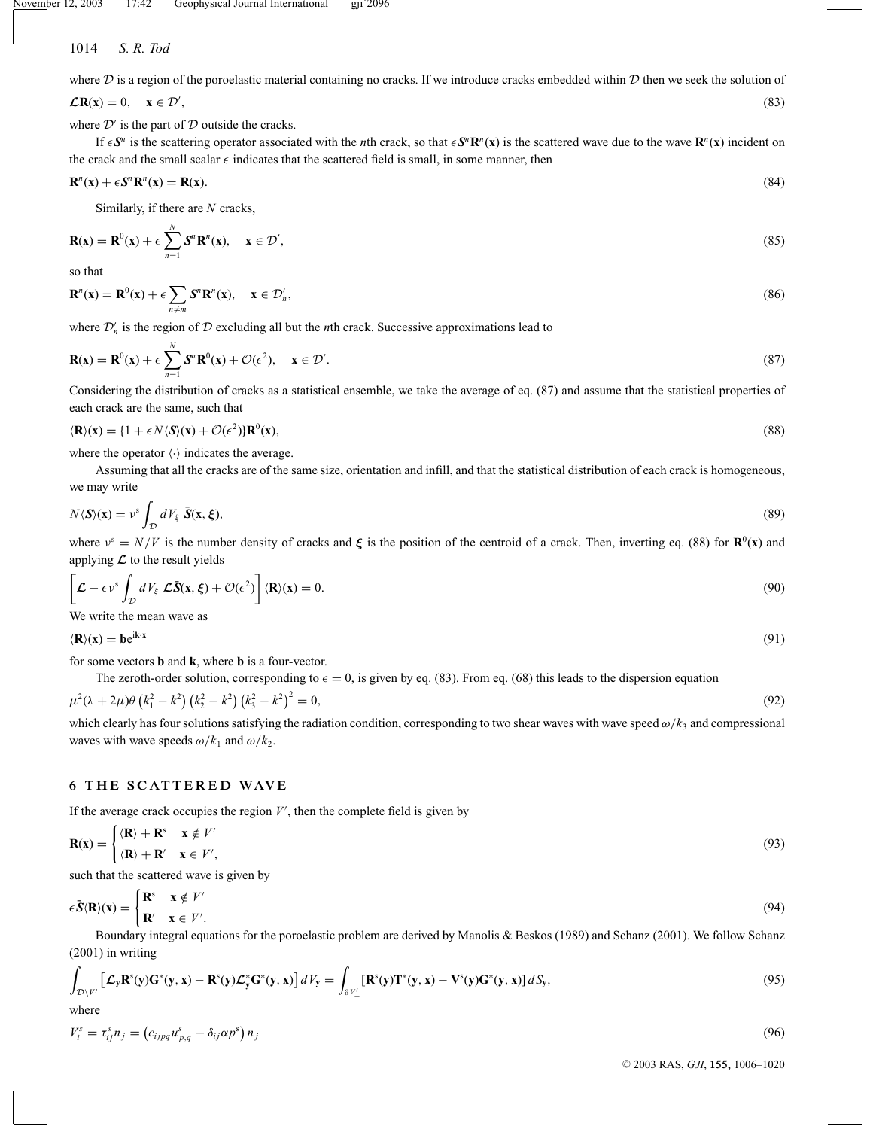where  $D$  is a region of the poroelastic material containing no cracks. If we introduce cracks embedded within  $D$  then we seek the solution of

$$
\mathcal{L}\mathbf{R}(\mathbf{x}) = 0, \quad \mathbf{x} \in \mathcal{D}',\tag{83}
$$

where  $\mathcal{D}'$  is the part of  $\mathcal D$  outside the cracks.

If  $\epsilon S^n$  is the scattering operator associated with the *n*th crack, so that  $\epsilon S^n \mathbb{R}^n(x)$  is the scattered wave due to the wave  $\mathbb{R}^n(x)$  incident on the crack and the small scalar  $\epsilon$  indicates that the scattered field is small, in some manner, then

$$
\mathbf{R}^n(\mathbf{x}) + \epsilon \mathbf{S}^n \mathbf{R}^n(\mathbf{x}) = \mathbf{R}(\mathbf{x}).\tag{84}
$$

Similarly, if there are *N* cracks,

$$
\mathbf{R}(\mathbf{x}) = \mathbf{R}^0(\mathbf{x}) + \epsilon \sum_{n=1}^{N} \mathbf{S}^n \mathbf{R}^n(\mathbf{x}), \quad \mathbf{x} \in \mathcal{D}', \tag{85}
$$

so that

$$
\mathbf{R}^{n}(\mathbf{x}) = \mathbf{R}^{0}(\mathbf{x}) + \epsilon \sum_{n \neq m} \mathbf{S}^{n} \mathbf{R}^{n}(\mathbf{x}), \quad \mathbf{x} \in \mathcal{D}'_{n},
$$
\n(86)

where  $\mathcal{D}'_n$  is the region of  $\mathcal D$  excluding all but the *n*th crack. Successive approximations lead to

$$
\mathbf{R}(\mathbf{x}) = \mathbf{R}^0(\mathbf{x}) + \epsilon \sum_{n=1}^N \mathbf{S}^n \mathbf{R}^0(\mathbf{x}) + \mathcal{O}(\epsilon^2), \quad \mathbf{x} \in \mathcal{D}'.
$$
 (87)

Considering the distribution of cracks as a statistical ensemble, we take the average of eq. (87) and assume that the statistical properties of each crack are the same, such that

$$
\langle \mathbf{R} \rangle(\mathbf{x}) = \{1 + \epsilon N \langle \mathbf{S} \rangle(\mathbf{x}) + \mathcal{O}(\epsilon^2) \} \mathbf{R}^0(\mathbf{x}),\tag{88}
$$

where the operator  $\langle \cdot \rangle$  indicates the average.

Assuming that all the cracks are of the same size, orientation and infill, and that the statistical distribution of each crack is homogeneous, we may write

$$
N\langle S\rangle(\mathbf{x}) = \nu^s \int_{\mathcal{D}} dV_{\xi} \ \bar{S}(\mathbf{x}, \xi),\tag{89}
$$

where  $v^s = N/V$  is the number density of cracks and  $\xi$  is the position of the centroid of a crack. Then, inverting eq. (88) for **R**<sup>0</sup>(**x**) and applying  $\mathcal L$  to the result yields

$$
\left[\mathcal{L} - \epsilon v^s \int_{\mathcal{D}} dV_{\xi} \mathcal{L}\bar{\mathbf{S}}(\mathbf{x}, \xi) + \mathcal{O}(\epsilon^2) \right] \langle \mathbf{R} \rangle(\mathbf{x}) = 0. \tag{90}
$$

We write the mean wave as

$$
\langle \mathbf{R} \rangle(\mathbf{x}) = \mathbf{b} e^{i\mathbf{k} \cdot \mathbf{x}} \tag{91}
$$

for some vectors **b** and **k**, where **b** is a four-vector.

The zeroth-order solution, corresponding to  $\epsilon = 0$ , is given by eq. (83). From eq. (68) this leads to the dispersion equation

$$
\mu^{2}(\lambda + 2\mu)\theta \left(k_{1}^{2} - k^{2}\right) \left(k_{2}^{2} - k^{2}\right) \left(k_{3}^{2} - k^{2}\right)^{2} = 0, \tag{92}
$$

which clearly has four solutions satisfying the radiation condition, corresponding to two shear waves with wave speed ω/*k*<sup>3</sup> and compressional waves with wave speeds  $\omega/k_1$  and  $\omega/k_2$ .

# **6 THE SCATTERED WAVE**

If the average crack occupies the region  $V'$ , then the complete field is given by

$$
\mathbf{R}(\mathbf{x}) = \begin{cases} \langle \mathbf{R} \rangle + \mathbf{R}^s & \mathbf{x} \notin V' \\ \langle \mathbf{R} \rangle + \mathbf{R}' & \mathbf{x} \in V', \end{cases} \tag{93}
$$

such that the scattered wave is given by

$$
\epsilon \bar{S} \langle \mathbf{R} \rangle(\mathbf{x}) = \begin{cases} \mathbf{R}^s & \mathbf{x} \notin V' \\ \mathbf{R}' & \mathbf{x} \in V' . \end{cases}
$$
 (94)

Boundary integral equations for the poroelastic problem are derived by Manolis & Beskos (1989) and Schanz (2001). We follow Schanz (2001) in writing

$$
\int_{\mathcal{D}\backslash V'}\left[\mathcal{L}_{\mathbf{y}}\mathbf{R}^{\mathbf{s}}(\mathbf{y})\mathbf{G}^{\mathbf{*}}(\mathbf{y},\mathbf{x})-\mathbf{R}^{\mathbf{s}}(\mathbf{y})\mathcal{L}_{\mathbf{y}}^{\mathbf{*}}\mathbf{G}^{\mathbf{*}}(\mathbf{y},\mathbf{x})\right]dV_{\mathbf{y}} = \int_{\partial V'_{+}}\left[\mathbf{R}^{\mathbf{s}}(\mathbf{y})\mathbf{T}^{\mathbf{*}}(\mathbf{y},\mathbf{x})-\mathbf{V}^{\mathbf{s}}(\mathbf{y})\mathbf{G}^{\mathbf{*}}(\mathbf{y},\mathbf{x})\right]dS_{\mathbf{y}},\tag{95}
$$

where

$$
V_i^s = \tau_{ij}^s n_j = \left(c_{ijpq} u_{p,q}^s - \delta_{ij} \alpha p^s\right) n_j \tag{96}
$$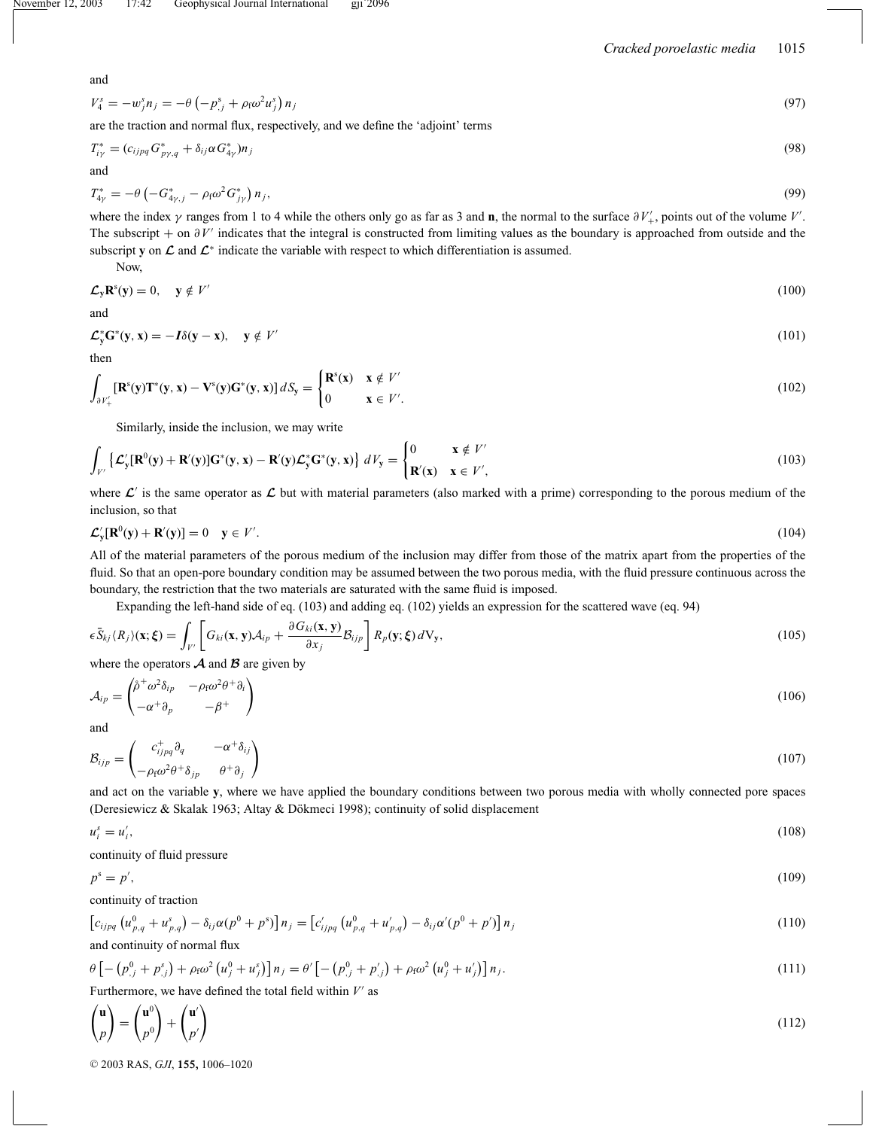and

$$
V_4^s = -w_j^s n_j = -\theta \left( -p_{,j}^s + \rho_f \omega^2 u_j^s \right) n_j \tag{97}
$$

are the traction and normal flux, respectively, and we define the 'adjoint' terms

$$
T_{i\gamma}^* = (c_{ijpq} G_{p\gamma,q}^* + \delta_{ij}\alpha G_{4\gamma}^*)n_j
$$
\n(98)

and

$$
T_{4\gamma}^* = -\theta \left( -G_{4\gamma,j}^* - \rho_f \omega^2 G_{j\gamma}^* \right) n_j, \tag{99}
$$

where the index  $\gamma$  ranges from 1 to 4 while the others only go as far as 3 and **n**, the normal to the surface  $\partial V'_{+}$ , points out of the volume *V'*. The subscript + on ∂*V'* indicates that the integral is constructed from limiting values as the boundary is approached from outside and the subscript **y** on  $\mathcal L$  and  $\mathcal L^*$  indicate the variable with respect to which differentiation is assumed.

Now,

$$
\mathcal{L}_{\mathbf{y}} \mathbf{R}^{\mathbf{s}}(\mathbf{y}) = 0, \quad \mathbf{y} \notin V' \tag{100}
$$

and

$$
\mathcal{L}_y^* \mathbf{G}^*(\mathbf{y}, \mathbf{x}) = -I\delta(\mathbf{y} - \mathbf{x}), \quad \mathbf{y} \notin V'
$$
\n(101)

then

$$
\int_{\partial V'_+} [\mathbf{R}^s(\mathbf{y}) \mathbf{T}^*(\mathbf{y}, \mathbf{x}) - \mathbf{V}^s(\mathbf{y}) \mathbf{G}^*(\mathbf{y}, \mathbf{x})] dS_{\mathbf{y}} = \begin{cases} \mathbf{R}^s(\mathbf{x}) & \mathbf{x} \notin V' \\ 0 & \mathbf{x} \in V'. \end{cases}
$$
(102)

Similarly, inside the inclusion, we may write

$$
\int_{V'} \left\{ \mathcal{L}'_{\mathbf{y}}[\mathbf{R}^0(\mathbf{y}) + \mathbf{R}'(\mathbf{y})] \mathbf{G}^*(\mathbf{y}, \mathbf{x}) - \mathbf{R}'(\mathbf{y}) \mathcal{L}^*_{\mathbf{y}} \mathbf{G}^*(\mathbf{y}, \mathbf{x}) \right\} dV_{\mathbf{y}} = \begin{cases} 0 & \mathbf{x} \notin V' \\ \mathbf{R}'(\mathbf{x}) & \mathbf{x} \in V', \end{cases}
$$
(103)

where  $\mathcal{L}'$  is the same operator as  $\mathcal{L}$  but with material parameters (also marked with a prime) corresponding to the porous medium of the inclusion, so that

$$
\mathcal{L}'_{\mathbf{y}}[\mathbf{R}^0(\mathbf{y}) + \mathbf{R}'(\mathbf{y})] = 0 \quad \mathbf{y} \in V'. \tag{104}
$$

All of the material parameters of the porous medium of the inclusion may differ from those of the matrix apart from the properties of the fluid. So that an open-pore boundary condition may be assumed between the two porous media, with the fluid pressure continuous across the boundary, the restriction that the two materials are saturated with the same fluid is imposed.

Expanding the left-hand side of eq. (103) and adding eq. (102) yields an expression for the scattered wave (eq. 94)

$$
\epsilon \bar{S}_{kj} \langle R_j \rangle(\mathbf{x}; \boldsymbol{\xi}) = \int_{V'} \left[ G_{ki}(\mathbf{x}, \mathbf{y}) A_{ip} + \frac{\partial G_{ki}(\mathbf{x}, \mathbf{y})}{\partial x_j} \mathcal{B}_{ijp} \right] R_p(\mathbf{y}; \boldsymbol{\xi}) \, dV_{\mathbf{y}},\tag{105}
$$

where the operators  $A$  and  $B$  are given by

$$
\mathcal{A}_{ip} = \begin{pmatrix} \hat{\rho}^+ \omega^2 \delta_{ip} & -\rho_f \omega^2 \theta^+ \partial_i \\ -\alpha^+ \partial_p & -\beta^+ \end{pmatrix}
$$
(106)

and

$$
\mathcal{B}_{ijp} = \begin{pmatrix} c_{ijpq}^+ \partial_q & -\alpha^+ \delta_{ij} \\ -\rho_f \omega^2 \theta^+ \delta_{jp} & \theta^+ \partial_j \end{pmatrix}
$$
(107)

and act on the variable **y**, where we have applied the boundary conditions between two porous media with wholly connected pore spaces (Deresiewicz & Skalak 1963; Altay & Dökmeci 1998); continuity of solid displacement

$$
u_i^s = u_i',\tag{108}
$$

continuity of fluid pressure

$$
p^s = p',\tag{109}
$$

continuity of traction

$$
\[c_{ijpq} \left(u_{p,q}^0 + u_{p,q}^s\right) - \delta_{ij}\alpha(p^0 + p^s)\]n_j = \left[c'_{ijpq} \left(u_{p,q}^0 + u_{p,q}'\right) - \delta_{ij}\alpha'(p^0 + p')\right]n_j\tag{110}
$$

and continuity of normal flux

$$
\theta \left[ -\left( p_{,j}^{0} + p_{,j}^{s} \right) + \rho_{f} \omega^{2} \left( u_{j}^{0} + u_{j}^{s} \right) \right] n_{j} = \theta' \left[ -\left( p_{,j}^{0} + p_{,j}^{\prime} \right) + \rho_{f} \omega^{2} \left( u_{j}^{0} + u_{j}^{\prime} \right) \right] n_{j}.
$$
\n(111)

Furthermore, we have defined the total field within *V* as

$$
\begin{pmatrix} \mathbf{u} \\ p \end{pmatrix} = \begin{pmatrix} \mathbf{u}^0 \\ p^0 \end{pmatrix} + \begin{pmatrix} \mathbf{u}' \\ p' \end{pmatrix} \tag{112}
$$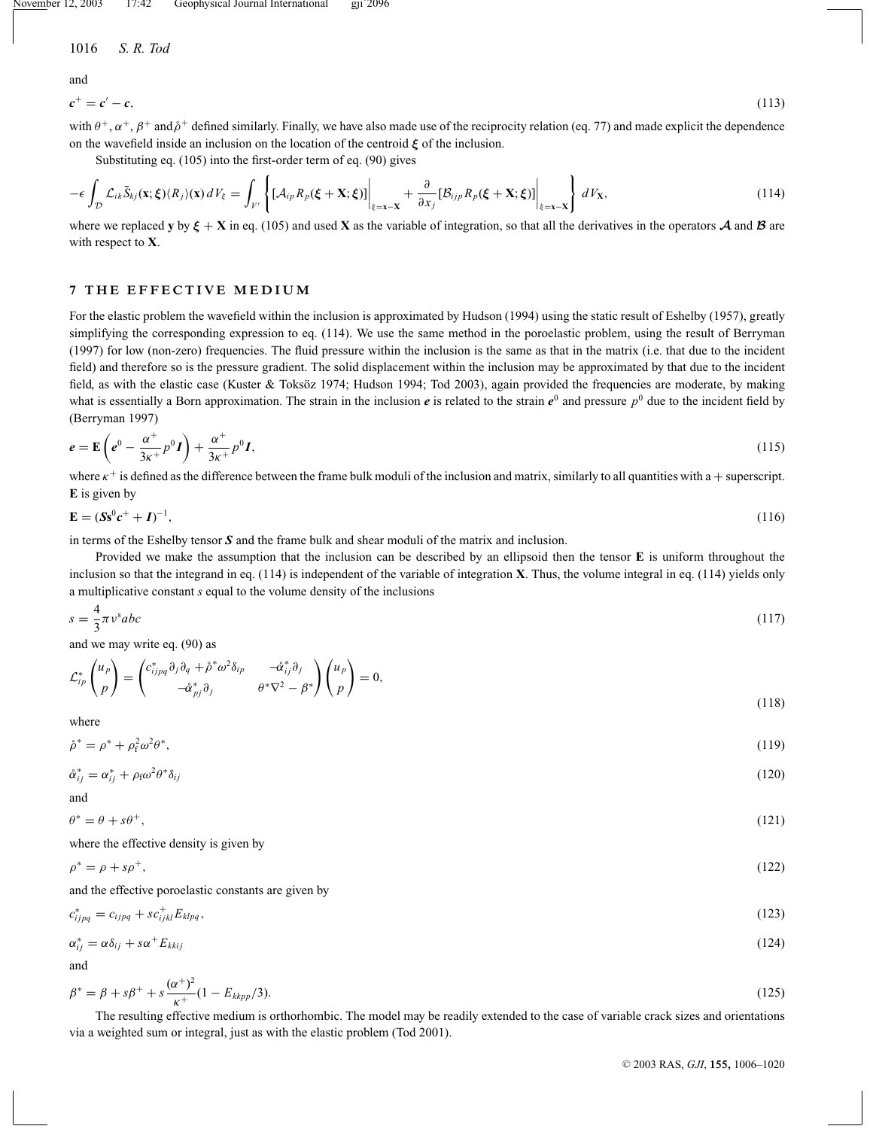November 12, 2003 17:42 Geophysical Journal International gji 2096

1016 *S. R. Tod*

and

 $c^+ = c' - c$ , (113)

with  $\theta^+$ ,  $\alpha^+$ ,  $\beta^+$  and  $\beta^+$  defined similarly. Finally, we have also made use of the reciprocity relation (eq. 77) and made explicit the dependence on the wavefield inside an inclusion on the location of the centroid *ξ* of the inclusion.

Substituting eq. (105) into the first-order term of eq. (90) gives

$$
-\epsilon \int_{\mathcal{D}} \mathcal{L}_{ik} \bar{S}_{kj}(\mathbf{x}; \boldsymbol{\xi}) \langle R_j \rangle(\mathbf{x}) dV_{\xi} = \int_{V'} \left\{ [\mathcal{A}_{ip} R_p(\boldsymbol{\xi} + \mathbf{X}; \boldsymbol{\xi})] \Big|_{\xi = \mathbf{x} - \mathbf{X}} + \frac{\partial}{\partial x_j} [\mathcal{B}_{ijp} R_p(\boldsymbol{\xi} + \mathbf{X}; \boldsymbol{\xi})] \Big|_{\xi = \mathbf{x} - \mathbf{X}} \right\} dV_{\mathbf{X}},
$$
(114)

where we replaced **y** by  $\xi + X$  in eq. (105) and used **X** as the variable of integration, so that all the derivatives in the operators *A* and *B* are with respect to **X**.

# **7 THE EFFECTIVE MEDIUM**

For the elastic problem the wavefield within the inclusion is approximated by Hudson (1994) using the static result of Eshelby (1957), greatly simplifying the corresponding expression to eq. (114). We use the same method in the poroelastic problem, using the result of Berryman (1997) for low (non-zero) frequencies. The fluid pressure within the inclusion is the same as that in the matrix (i.e. that due to the incident field) and therefore so is the pressure gradient. The solid displacement within the inclusion may be approximated by that due to the incident field, as with the elastic case (Kuster & Toksöz 1974; Hudson 1994; Tod 2003), again provided the frequencies are moderate, by making what is essentially a Born approximation. The strain in the inclusion  $e$  is related to the strain  $e^0$  and pressure  $p^0$  due to the incident field by (Berryman 1997)

$$
e = \mathbf{E}\left(e^0 - \frac{\alpha^+}{3\kappa^+}p^0\mathbf{I}\right) + \frac{\alpha^+}{3\kappa^+}p^0\mathbf{I},\tag{115}
$$

where  $\kappa^+$  is defined as the difference between the frame bulk moduli of the inclusion and matrix, similarly to all quantities with a + superscript. **E** is given by

$$
\mathbf{E} = (\mathbf{S}\mathbf{s}^0 \mathbf{c}^+ + \mathbf{I})^{-1},\tag{116}
$$

in terms of the Eshelby tensor *S* and the frame bulk and shear moduli of the matrix and inclusion.

Provided we make the assumption that the inclusion can be described by an ellipsoid then the tensor **E** is uniform throughout the inclusion so that the integrand in eq. (114) is independent of the variable of integration **X**. Thus, the volume integral in eq. (114) yields only a multiplicative constant *s* equal to the volume density of the inclusions

$$
s = \frac{4}{3}\pi v^s abc \tag{117}
$$

and we may write eq. (90) as

$$
\mathcal{L}_{ip}^* \begin{pmatrix} u_p \\ p \end{pmatrix} = \begin{pmatrix} c_{ipq}^* \partial_j \partial_q + \mathring{\rho}^* \omega^2 \delta_{ip} & -\mathring{\alpha}_{ij}^* \partial_j \\ -\mathring{\alpha}_{pj}^* \partial_j & \mathring{\rho}^* \nabla^2 - \mathring{\rho}^* \end{pmatrix} \begin{pmatrix} u_p \\ p \end{pmatrix} = 0,
$$
\n(118)

where

$$
\mathring{\rho}^* = \rho^* + \rho_f^2 \omega^2 \theta^*,\tag{119}
$$

$$
\mathring{\alpha}_{ij}^* = \alpha_{ij}^* + \rho_f \omega^2 \theta^* \delta_{ij} \tag{120}
$$

and  $\theta^* = \theta + s\theta^+,$  (121)

where the effective density is given by

$$
\rho^* = \rho + s\rho^+, \tag{122}
$$

and the effective poroelastic constants are given by

$$
c_{ijpq}^* = c_{ijpq} + s c_{ijkl}^+ E_{klpq},\tag{123}
$$

$$
\alpha_{ij}^* = \alpha \delta_{ij} + s \alpha^+ E_{klij} \tag{124}
$$

and

$$
\beta^* = \beta + s\beta^+ + s\frac{(\alpha^+)^2}{\kappa^+} (1 - E_{\text{kkpp}}/3). \tag{125}
$$

The resulting effective medium is orthorhombic. The model may be readily extended to the case of variable crack sizes and orientations via a weighted sum or integral, just as with the elastic problem (Tod 2001).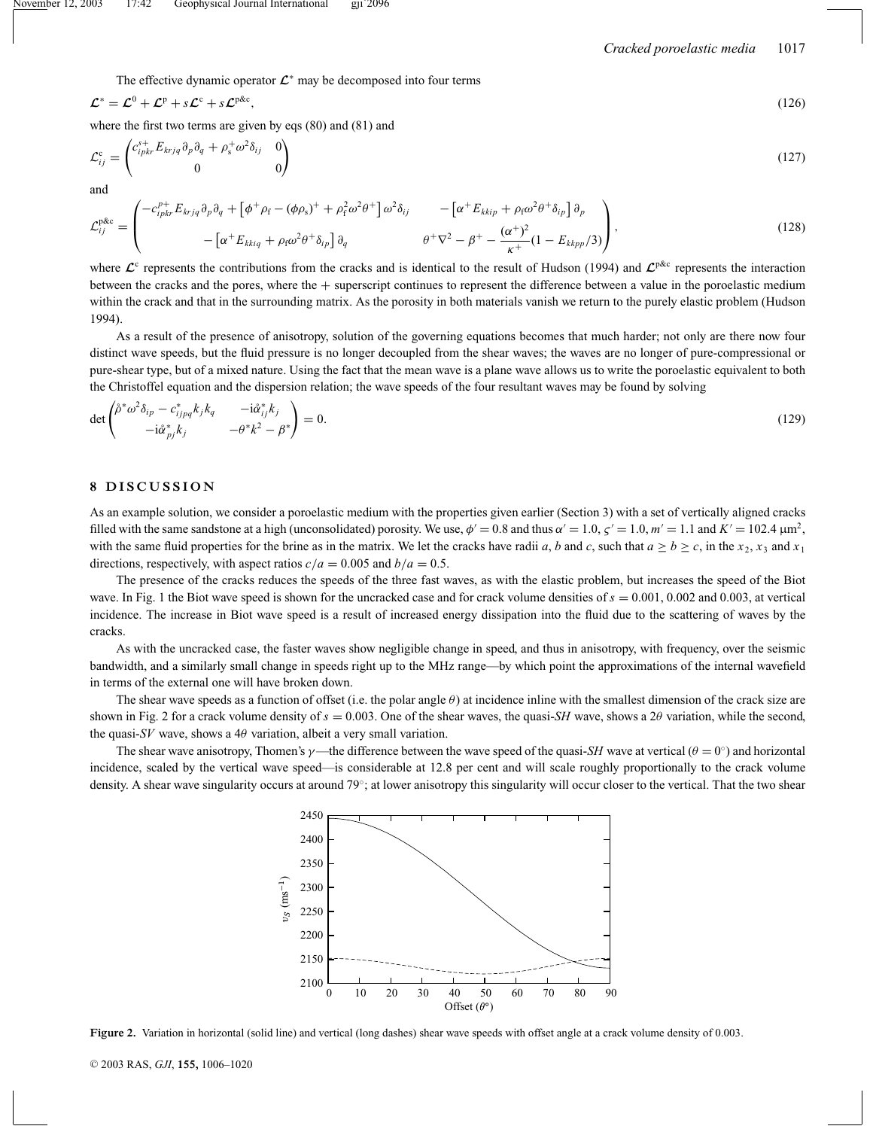The effective dynamic operator *<sup>L</sup>*<sup>∗</sup> may be decomposed into four terms

$$
\mathcal{L}^* = \mathcal{L}^0 + \mathcal{L}^p + s\mathcal{L}^c + s\mathcal{L}^{p\&c},\tag{126}
$$

where the first two terms are given by eqs (80) and (81) and

$$
\mathcal{L}_{ij}^{\mathbf{c}} = \begin{pmatrix} c_{ipkr}^{s+} E_{krjq} \partial_p \partial_q + \rho_s^{\perp} \omega^2 \delta_{ij} & 0 \\ 0 & 0 \end{pmatrix}
$$
\n(127)

and

$$
\mathcal{L}_{ij}^{\text{pAc}} = \begin{pmatrix} -c_{ipkr}^{p+} E_{krjq} \partial_p \partial_q + \left[ \phi^+ \rho_f - (\phi \rho_s)^+ + \rho_f^2 \omega^2 \theta^+ \right] \omega^2 \delta_{ij} & -\left[ \alpha^+ E_{kkip} + \rho_f \omega^2 \theta^+ \delta_{ip} \right] \partial_p \\ -\left[ \alpha^+ E_{kkiq} + \rho_f \omega^2 \theta^+ \delta_{ip} \right] \partial_q & \theta^+ \nabla^2 - \beta^+ - \frac{(\alpha^+)^2}{\kappa^+} (1 - E_{kkp}/3) \end{pmatrix},
$$
(128)

where  $\mathcal{L}^c$  represents the contributions from the cracks and is identical to the result of Hudson (1994) and  $\mathcal{L}^{p\&c}$  represents the interaction between the cracks and the pores, where the + superscript continues to represent the difference between a value in the poroelastic medium within the crack and that in the surrounding matrix. As the porosity in both materials vanish we return to the purely elastic problem (Hudson 1994).

As a result of the presence of anisotropy, solution of the governing equations becomes that much harder; not only are there now four distinct wave speeds, but the fluid pressure is no longer decoupled from the shear waves; the waves are no longer of pure-compressional or pure-shear type, but of a mixed nature. Using the fact that the mean wave is a plane wave allows us to write the poroelastic equivalent to both the Christoffel equation and the dispersion relation; the wave speeds of the four resultant waves may be found by solving

$$
\det \begin{pmatrix} \hat{\rho}^* \omega^2 \delta_{ip} - c^*_{ijpq} k_j k_q & -i \hat{\alpha}_{ij}^* k_j \\ -i \hat{\alpha}_{pj}^* k_j & -\theta^* k^2 - \beta^* \end{pmatrix} = 0.
$$
\n(129)

# **8 DISCUSSION**

As an example solution, we consider a poroelastic medium with the properties given earlier (Section 3) with a set of vertically aligned cracks filled with the same sandstone at a high (unconsolidated) porosity. We use,  $\phi' = 0.8$  and thus  $\alpha' = 1.0$ ,  $\alpha' = 1.0$ ,  $m' = 1.1$  and  $K' = 102.4 \,\mu m^2$ , with the same fluid properties for the brine as in the matrix. We let the cracks have radii *a*, *b* and *c*, such that  $a \ge b \ge c$ , in the  $x_2$ ,  $x_3$  and  $x_1$ directions, respectively, with aspect ratios  $c/a = 0.005$  and  $b/a = 0.5$ .

The presence of the cracks reduces the speeds of the three fast waves, as with the elastic problem, but increases the speed of the Biot wave. In Fig. 1 the Biot wave speed is shown for the uncracked case and for crack volume densities of  $s = 0.001, 0.002$  and 0.003, at vertical incidence. The increase in Biot wave speed is a result of increased energy dissipation into the fluid due to the scattering of waves by the cracks.

As with the uncracked case, the faster waves show negligible change in speed, and thus in anisotropy, with frequency, over the seismic bandwidth, and a similarly small change in speeds right up to the MHz range—by which point the approximations of the internal wavefield in terms of the external one will have broken down.

The shear wave speeds as a function of offset (i.e. the polar angle  $\theta$ ) at incidence inline with the smallest dimension of the crack size are shown in Fig. 2 for a crack volume density of  $s = 0.003$ . One of the shear waves, the quasi-*SH* wave, shows a 2 $\theta$  variation, while the second, the quasi- $SV$  wave, shows a 4 $\theta$  variation, albeit a very small variation.

The shear wave anisotropy, Thomen's  $\gamma$ —the difference between the wave speed of the quasi-*SH* wave at vertical ( $\theta = 0^\circ$ ) and horizontal incidence, scaled by the vertical wave speed—is considerable at 12.8 per cent and will scale roughly proportionally to the crack volume density. A shear wave singularity occurs at around 79°; at lower anisotropy this singularity will occur closer to the vertical. That the two shear



**Figure 2.** Variation in horizontal (solid line) and vertical (long dashes) shear wave speeds with offset angle at a crack volume density of 0.003.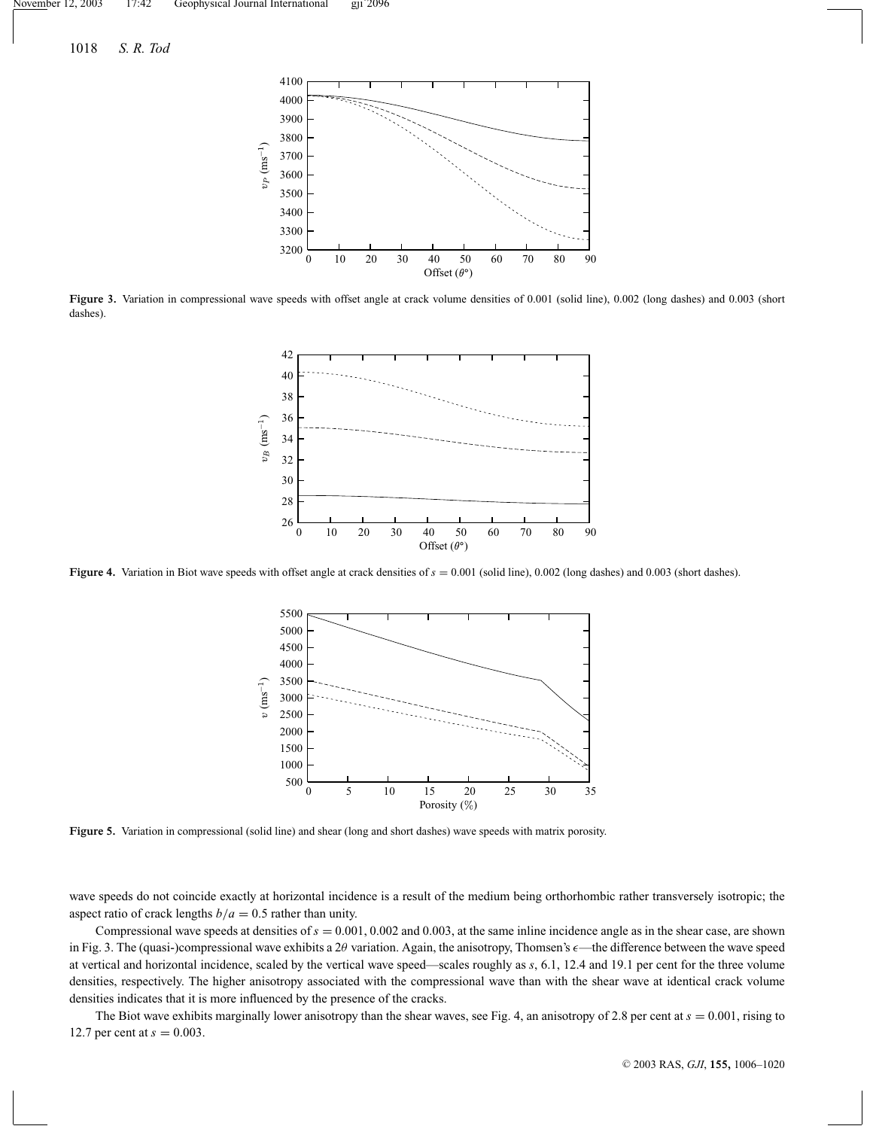

**Figure 3.** Variation in compressional wave speeds with offset angle at crack volume densities of 0.001 (solid line), 0.002 (long dashes) and 0.003 (short dashes).



**Figure 4.** Variation in Biot wave speeds with offset angle at crack densities of *s* = 0.001 (solid line), 0.002 (long dashes) and 0.003 (short dashes).



**Figure 5.** Variation in compressional (solid line) and shear (long and short dashes) wave speeds with matrix porosity.

wave speeds do not coincide exactly at horizontal incidence is a result of the medium being orthorhombic rather transversely isotropic; the aspect ratio of crack lengths  $b/a = 0.5$  rather than unity.

Compressional wave speeds at densities of  $s = 0.001, 0.002$  and 0.003, at the same inline incidence angle as in the shear case, are shown in Fig. 3. The (quasi-)compressional wave exhibits a  $2\theta$  variation. Again, the anisotropy, Thomsen's  $\epsilon$ —the difference between the wave speed at vertical and horizontal incidence, scaled by the vertical wave speed—scales roughly as *s*, 6.1, 12.4 and 19.1 per cent for the three volume densities, respectively. The higher anisotropy associated with the compressional wave than with the shear wave at identical crack volume densities indicates that it is more influenced by the presence of the cracks.

The Biot wave exhibits marginally lower anisotropy than the shear waves, see Fig. 4, an anisotropy of 2.8 per cent at  $s = 0.001$ , rising to 12.7 per cent at  $s = 0.003$ .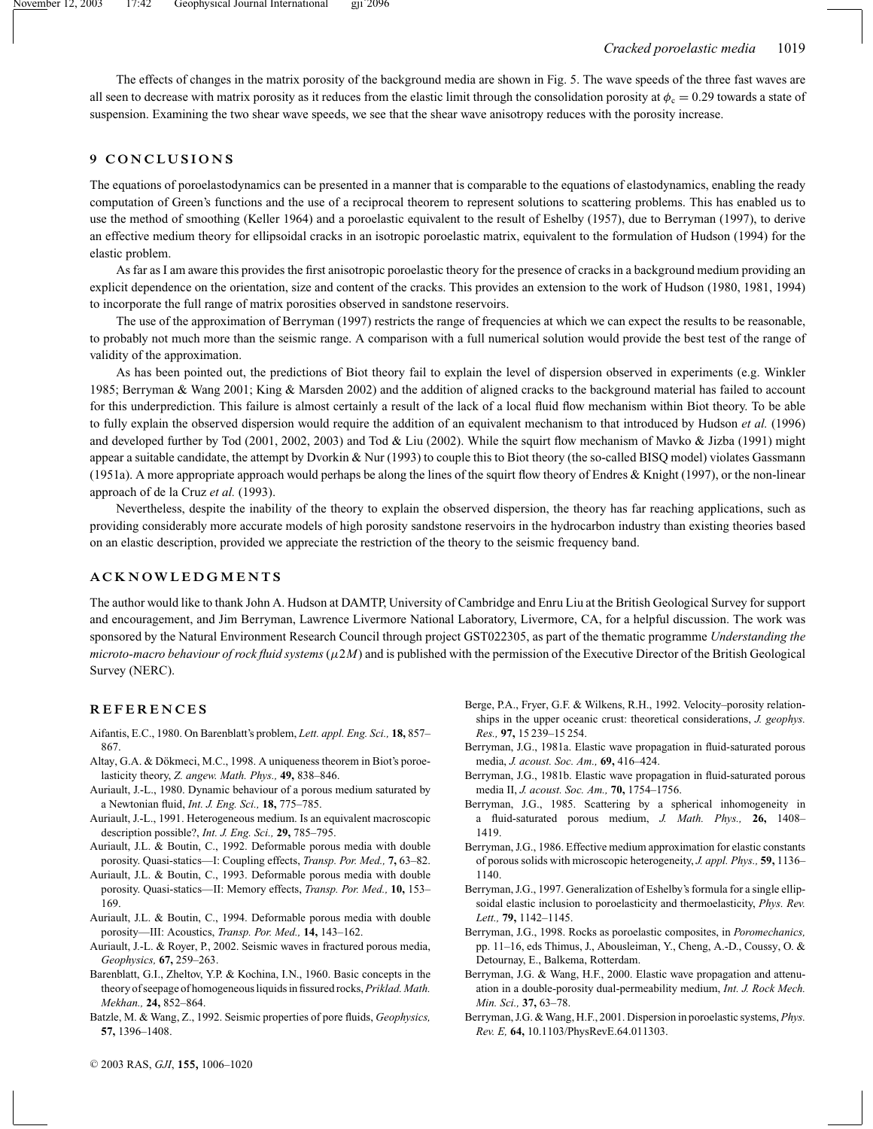The effects of changes in the matrix porosity of the background media are shown in Fig. 5. The wave speeds of the three fast waves are all seen to decrease with matrix porosity as it reduces from the elastic limit through the consolidation porosity at  $\phi_c = 0.29$  towards a state of suspension. Examining the two shear wave speeds, we see that the shear wave anisotropy reduces with the porosity increase.

# **9 CONCLUSIONS**

The equations of poroelastodynamics can be presented in a manner that is comparable to the equations of elastodynamics, enabling the ready computation of Green's functions and the use of a reciprocal theorem to represent solutions to scattering problems. This has enabled us to use the method of smoothing (Keller 1964) and a poroelastic equivalent to the result of Eshelby (1957), due to Berryman (1997), to derive an effective medium theory for ellipsoidal cracks in an isotropic poroelastic matrix, equivalent to the formulation of Hudson (1994) for the elastic problem.

As far as I am aware this provides the first anisotropic poroelastic theory for the presence of cracks in a background medium providing an explicit dependence on the orientation, size and content of the cracks. This provides an extension to the work of Hudson (1980, 1981, 1994) to incorporate the full range of matrix porosities observed in sandstone reservoirs.

The use of the approximation of Berryman (1997) restricts the range of frequencies at which we can expect the results to be reasonable, to probably not much more than the seismic range. A comparison with a full numerical solution would provide the best test of the range of validity of the approximation.

As has been pointed out, the predictions of Biot theory fail to explain the level of dispersion observed in experiments (e.g. Winkler 1985; Berryman & Wang 2001; King & Marsden 2002) and the addition of aligned cracks to the background material has failed to account for this underprediction. This failure is almost certainly a result of the lack of a local fluid flow mechanism within Biot theory. To be able to fully explain the observed dispersion would require the addition of an equivalent mechanism to that introduced by Hudson *et al.* (1996) and developed further by Tod (2001, 2002, 2003) and Tod & Liu (2002). While the squirt flow mechanism of Mavko & Jizba (1991) might appear a suitable candidate, the attempt by Dvorkin & Nur (1993) to couple this to Biot theory (the so-called BISQ model) violates Gassmann (1951a). A more appropriate approach would perhaps be along the lines of the squirt flow theory of Endres & Knight (1997), or the non-linear approach of de la Cruz *et al.* (1993).

Nevertheless, despite the inability of the theory to explain the observed dispersion, the theory has far reaching applications, such as providing considerably more accurate models of high porosity sandstone reservoirs in the hydrocarbon industry than existing theories based on an elastic description, provided we appreciate the restriction of the theory to the seismic frequency band.

#### **ACKNOWLEDGMENTS**

The author would like to thank John A. Hudson at DAMTP, University of Cambridge and Enru Liu at the British Geological Survey for support and encouragement, and Jim Berryman, Lawrence Livermore National Laboratory, Livermore, CA, for a helpful discussion. The work was sponsored by the Natural Environment Research Council through project GST022305, as part of the thematic programme *Understanding the microto-macro behaviour of rock fluid systems*  $(\mu 2M)$  and is published with the permission of the Executive Director of the British Geological Survey (NERC).

#### **REFERENCES**

- Aifantis, E.C., 1980. On Barenblatt's problem, *Lett. appl. Eng. Sci.,* **18,** 857– 867.
- Altay, G.A. & Dökmeci, M.C., 1998. A uniqueness theorem in Biot's poroelasticity theory, *Z. angew. Math. Phys.,* **49,** 838–846.
- Auriault, J.-L., 1980. Dynamic behaviour of a porous medium saturated by a Newtonian fluid, *Int. J. Eng. Sci.,* **18,** 775–785.
- Auriault, J.-L., 1991. Heterogeneous medium. Is an equivalent macroscopic description possible?, *Int. J. Eng. Sci.,* **29,** 785–795.
- Auriault, J.L. & Boutin, C., 1992. Deformable porous media with double porosity. Quasi-statics—I: Coupling effects, *Transp. Por. Med.,* **7,** 63–82.
- Auriault, J.L. & Boutin, C., 1993. Deformable porous media with double porosity. Quasi-statics—II: Memory effects, *Transp. Por. Med.,* **10,** 153– 169.
- Auriault, J.L. & Boutin, C., 1994. Deformable porous media with double porosity—III: Acoustics, *Transp. Por. Med.,* **14,** 143–162.
- Auriault, J.-L. & Royer, P., 2002. Seismic waves in fractured porous media, *Geophysics,* **67,** 259–263.
- Barenblatt, G.I., Zheltov, Y.P. & Kochina, I.N., 1960. Basic concepts in the theory of seepage of homogeneous liquids in fissured rocks,*Priklad. Math. Mekhan.,* **24,** 852–864.
- Batzle, M. & Wang, Z., 1992. Seismic properties of pore fluids, *Geophysics,* **57,** 1396–1408.
- Berge, P.A., Fryer, G.F. & Wilkens, R.H., 1992. Velocity–porosity relationships in the upper oceanic crust: theoretical considerations, *J. geophys. Res.,* **97,** 15 239–15 254.
- Berryman, J.G., 1981a. Elastic wave propagation in fluid-saturated porous media, *J. acoust. Soc. Am.,* **69,** 416–424.
- Berryman, J.G., 1981b. Elastic wave propagation in fluid-saturated porous media II, *J. acoust. Soc. Am.,* **70,** 1754–1756.
- Berryman, J.G., 1985. Scattering by a spherical inhomogeneity in a fluid-saturated porous medium, *J. Math. Phys.,* **26,** 1408– 1419.
- Berryman, J.G., 1986. Effective medium approximation for elastic constants of porous solids with microscopic heterogeneity, *J. appl. Phys.,* **59,** 1136– 1140.
- Berryman, J.G., 1997. Generalization of Eshelby's formula for a single ellipsoidal elastic inclusion to poroelasticity and thermoelasticity, *Phys. Rev. Lett.,* **79,** 1142–1145.
- Berryman, J.G., 1998. Rocks as poroelastic composites, in *Poromechanics,* pp. 11–16, eds Thimus, J., Abousleiman, Y., Cheng, A.-D., Coussy, O. & Detournay, E., Balkema, Rotterdam.
- Berryman, J.G. & Wang, H.F., 2000. Elastic wave propagation and attenuation in a double-porosity dual-permeability medium, *Int. J. Rock Mech. Min. Sci.,* **37,** 63–78.
- Berryman, J.G. & Wang, H.F., 2001. Dispersion in poroelastic systems, *Phys. Rev. E,* **64,** 10.1103/PhysRevE.64.011303.